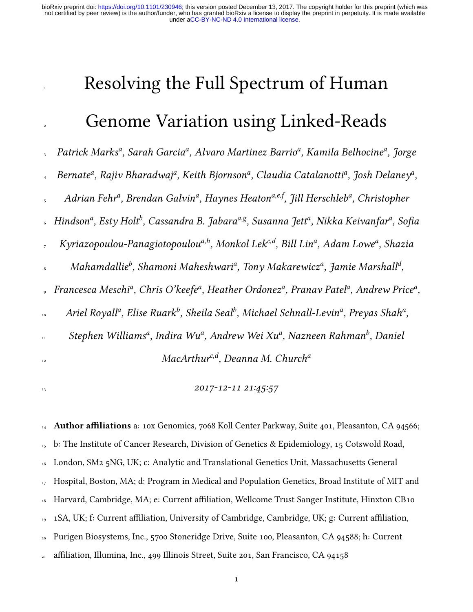# Resolving the Full Spectrum of Human

# Genome Variation using Linked-Reads

3 Patrick Marks<sup>a</sup>, Sarah Garcia<sup>a</sup>, Alvaro Martinez Barrio<sup>a</sup>, Kamila Belhocine<sup>a</sup>, Jorge

<sub>4</sub> Bernate<sup>a</sup>, Rajiv Bharadwaj<sup>a</sup>, Keith Bjornson<sup>a</sup>, Claudia Catalanotti<sup>a</sup>, Josh Delaney<sup>a</sup>,

<sup>5</sup> Adrian Fehr<sup>a</sup>, Brendan Galvin<sup>a</sup>, Haynes Heaton<sup>a,e,f</sup>, Jill Herschleb<sup>a</sup>, Christopher

 $_{\circ}\;$  Hindson $^{a}$ , Esty Holt $^{b}$ , Cassandra B. Jabara $^{a,g}$ , Susanna Jett $^{a}$ , Nikka Keivanfar $^{a}$ , Sofia

, Kyriazopoulou-Panagiotopoulou ${}^{a,h}$ , Monkol Lek ${}^{c,d},$  Bill Lin ${}^{a},$  Adam Lowe ${}^{a},$  Shazia

 $_{\rm s}$  Mahamdallie $^b$ , Shamoni Maheshwari $^a$ , Tony Makarewicz $^a$ , Jamie Marshall $^d$ ,

, Francesca Meschi<sup>a</sup>, Chris O'keefe<sup>a</sup>, Heather Ordonez<sup>a</sup>, Pranav Patel<sup>a</sup>, Andrew Price<sup>a</sup>,

 $\cdot$  Ariel Royall<sup>a</sup>, Elise Ruark<sup>b</sup>, Sheila Seal<sup>b</sup>, Michael Schnall-Levin<sup>a</sup>, Preyas Shah<sup>a</sup>,

 $\mathbf{S}$ tephen Williams $^a$ , Indira Wu $^a$ , Andrew Wei Xu $^a$ , Nazneen Rahman $^b$ , Daniel

12

 $MacArthur^{c,d}$ , Deanna M. Church<sup>a</sup>

 $2017 - 12 - 11 \ 21 \cdot 45 \cdot 57$ 

 Author affiliations a: 10x Genomics, 7068 Koll Center Parkway, Suite 401, Pleasanton, CA 94566; b: The Institute of Cancer Research, Division of Genetics & Epidemiology, 15 Cotswold Road, London, SM2 5NG, UK; c: Analytic and Translational Genetics Unit, Massachusetts General Hospital, Boston, MA; d: Program in Medical and Population Genetics, Broad Institute of MIT and <sup>18</sup> Harvard, Cambridge, MA; e: Current affiliation, Wellcome Trust Sanger Institute, Hinxton CB10 <sup>19</sup> 1SA, UK; f: Current affiliation, University of Cambridge, Cambridge, UK; g: Current affiliation, Purigen Biosystems, Inc., 5700 Stoneridge Drive, Suite 100, Pleasanton, CA 94588; h: Current affiliation, Illumina, Inc., 499 Illinois Street, Suite 201, San Francisco, CA 94158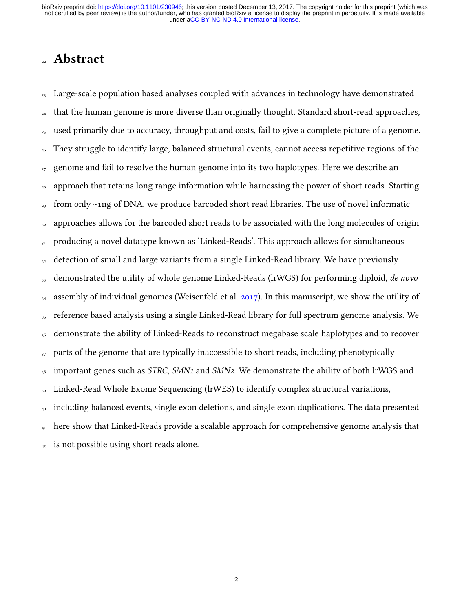### **Abstract**

<sup>23</sup> Large-scale population based analyses coupled with advances in technology have demonstrated  $_{24}$  that the human genome is more diverse than originally thought. Standard short-read approaches, <sup>25</sup> used primarily due to accuracy, throughput and costs, fail to give a complete picture of a genome. <sup>26</sup> They struggle to identify large, balanced structural events, cannot access repetitive regions of the  $_{27}$  genome and fail to resolve the human genome into its two haplotypes. Here we describe an approach that retains long range information while harnessing the power of short reads. Starting  $_{29}$  from only ~1ng of DNA, we produce barcoded short read libraries. The use of novel informatic <sub>30</sub> approaches allows for the barcoded short reads to be associated with the long molecules of origin 31 producing a novel datatype known as 'Linked-Reads'. This approach allows for simultaneous 32 detection of small and large variants from a single Linked-Read library. We have previously 33 demonstrated the utility of whole genome Linked-Reads (lrWGS) for performing diploid, de novo  $_{34}$  assembly of individual genomes (Weisenfeld et al. [2017\)](#page-42-0). In this manuscript, we show the utility of 35 reference based analysis using a single Linked-Read library for full spectrum genome analysis. We 36 demonstrate the ability of Linked-Reads to reconstruct megabase scale haplotypes and to recover 37 parts of the genome that are typically inaccessible to short reads, including phenotypically  $_{38}$  important genes such as *STRC, SMN<sub>1</sub>* and *SMN<sub>2</sub>*. We demonstrate the ability of both lrWGS and  $_{39}$  Linked-Read Whole Exome Sequencing (lrWES) to identify complex structural variations, <sup>40</sup> including balanced events, single exon deletions, and single exon duplications. The data presented <sup>41</sup> here show that Linked-Reads provide a scalable approach for comprehensive genome analysis that  $_{42}$  is not possible using short reads alone.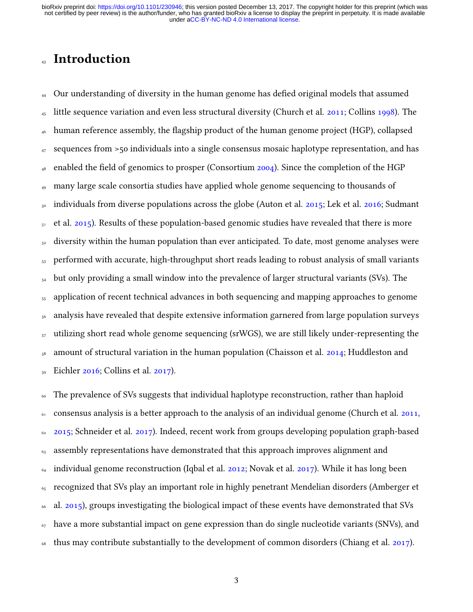### **Introduction**

 $_{44}$  Our understanding of diversity in the human genome has defied original models that assumed  $_{45}$  little sequence variation and even less structural diversity (Church et al. [2011;](#page-39-0) Collins [1998\)](#page-39-1). The human reference assembly, the flagship product of the human genome project (HGP), collapsed <sup>47</sup> sequences from >50 individuals into a single consensus mosaic haplotype representation, and has enabled the field of genomics to prosper (Consortium  $2004$ ). Since the completion of the HGP <sup>49</sup> many large scale consortia studies have applied whole genome sequencing to thousands of individuals from diverse populations across the globe (Auton et al.  $2015$ ; Lek et al.  $2016$ ; Sudmant  $51$  et al. [2015\)](#page-41-0). Results of these population-based genomic studies have revealed that there is more  $52$  diversity within the human population than ever anticipated. To date, most genome analyses were <sub>53</sub> performed with accurate, high-throughput short reads leading to robust analysis of small variants  $_{54}$  but only providing a small window into the prevalence of larger structural variants (SVs). The <sub>55</sub> application of recent technical advances in both sequencing and mapping approaches to genome <sub>56</sub> analysis have revealed that despite extensive information garnered from large population surveys  $<sub>57</sub>$  utilizing short read whole genome sequencing (srWGS), we are still likely under-representing the</sub>  $58$  amount of structural variation in the human population (Chaisson et al. [2014;](#page-38-1) Huddleston and <sup>59</sup> Eichler [2016;](#page-40-1) Collins et al. [2017\)](#page-39-3).

<sup>60</sup> The prevalence of SVs suggests that individual haplotype reconstruction, rather than haploid <sup>61</sup> consensus analysis is a better approach to the analysis of an individual genome (Church et al. [2011,](#page-39-0)  $62$  [2015;](#page-39-4) Schneider et al. [2017\)](#page-41-1). Indeed, recent work from groups developing population graph-based <sup>63</sup> assembly representations have demonstrated that this approach improves alignment and  $\epsilon_4$  individual genome reconstruction (Iqbal et al. [2012;](#page-40-2) Novak et al. [2017\)](#page-41-2). While it has long been  $65$  recognized that SVs play an important role in highly penetrant Mendelian disorders (Amberger et <sup>66</sup> al. [2015\)](#page-38-2), groups investigating the biological impact of these events have demonstrated that SVs  $67$  have a more substantial impact on gene expression than do single nucleotide variants (SNVs), and  $\frac{68}{100}$  thus may contribute substantially to the development of common disorders (Chiang et al. [2017\)](#page-39-5).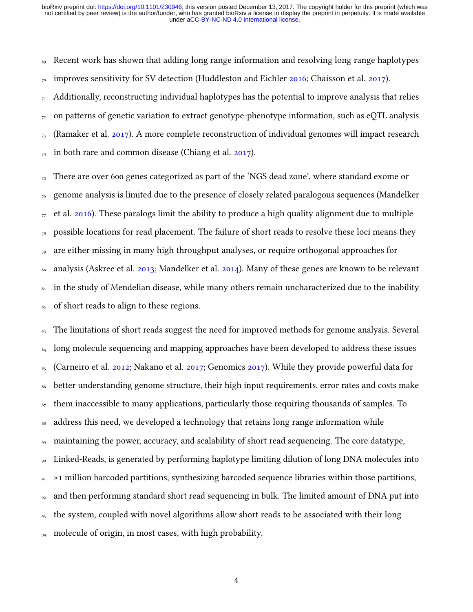<sup>69</sup> Recent work has shown that adding long range information and resolving long range haplotypes  $_{70}$  improves sensitivity for SV detection (Huddleston and Eichler [2016;](#page-40-1) Chaisson et al. [2017\)](#page-38-3).

 $71$  Additionally, reconstructing individual haplotypes has the potential to improve analysis that relies  $72$  on patterns of genetic variation to extract genotype-phenotype information, such as eQTL analysis  $_{73}$  (Ramaker et al. [2017\)](#page-41-3). A more complete reconstruction of individual genomes will impact research  $_{74}$  in both rare and common disease (Chiang et al. [2017\)](#page-39-5).

 $75$  There are over 600 genes categorized as part of the 'NGS dead zone', where standard exome or  $76$  genome analysis is limited due to the presence of closely related paralogous sequences (Mandelker  $_{77}$  et al. [2016\)](#page-40-3). These paralogs limit the ability to produce a high quality alignment due to multiple  $78$  possible locations for read placement. The failure of short reads to resolve these loci means they  $_{79}$  are either missing in many high throughput analyses, or require orthogonal approaches for <sup>80</sup> analysis (Askree et al. [2013;](#page-38-4) Mandelker et al. [2014\)](#page-40-4). Many of these genes are known to be relevant 81 in the study of Mendelian disease, while many others remain uncharacterized due to the inability 82 of short reads to align to these regions.

 $83$  The limitations of short reads suggest the need for improved methods for genome analysis. Several <sup>84</sup> long molecule sequencing and mapping approaches have been developed to address these issues  $85$  (Carneiro et al. [2012;](#page-38-5) Nakano et al. [2017;](#page-41-4) Genomics [2017\)](#page-39-6). While they provide powerful data for <sup>86</sup> better understanding genome structure, their high input requirements, error rates and costs make <sup>87</sup> them inaccessible to many applications, particularly those requiring thousands of samples. To <sup>88</sup> address this need, we developed a technology that retains long range information while <sup>89</sup> maintaining the power, accuracy, and scalability of short read sequencing. The core datatype, <sup>90</sup> Linked-Reads, is generated by performing haplotype limiting dilution of long DNA molecules into <sup>91</sup> >1 million barcoded partitions, synthesizing barcoded sequence libraries within those partitions,  $92$  and then performing standard short read sequencing in bulk. The limited amount of DNA put into <sup>93</sup> the system, coupled with novel algorithms allow short reads to be associated with their long <sup>94</sup> molecule of origin, in most cases, with high probability.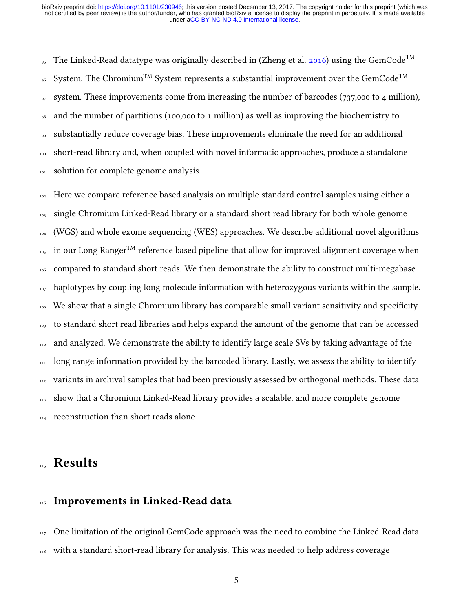<sup>95</sup> The Linked-Read datatype was originally described in (Zheng et al. [2016\)](#page-42-1) using the GemCode<sup>TM</sup> System. The Chromium<sup>TM</sup> System represents a substantial improvement over the GemCode<sup>TM</sup> 96 <sup>97</sup> system. These improvements come from increasing the number of barcodes (737,000 to 4 million), <sup>98</sup> and the number of partitions (100,000 to 1 million) as well as improving the biochemistry to <sup>99</sup> substantially reduce coverage bias. These improvements eliminate the need for an additional <sup>100</sup> short-read library and, when coupled with novel informatic approaches, produce a standalone 101 solution for complete genome analysis.

102 Here we compare reference based analysis on multiple standard control samples using either a single Chromium Linked-Read library or a standard short read library for both whole genome (WGS) and whole exome sequencing (WES) approaches. We describe additional novel algorithms  $\log$  in our Long Ranger<sup>TM</sup> reference based pipeline that allow for improved alignment coverage when compared to standard short reads. We then demonstrate the ability to construct multi-megabase haplotypes by coupling long molecule information with heterozygous variants within the sample. We show that a single Chromium library has comparable small variant sensitivity and specificity to standard short read libraries and helps expand the amount of the genome that can be accessed 110 and analyzed. We demonstrate the ability to identify large scale SVs by taking advantage of the <sup>111</sup> long range information provided by the barcoded library. Lastly, we assess the ability to identify variants in archival samples that had been previously assessed by orthogonal methods. These data show that a Chromium Linked-Read library provides a scalable, and more complete genome 114 reconstruction than short reads alone.

# **Results**

### 116 Improvements in Linked-Read data

 $117$  One limitation of the original GemCode approach was the need to combine the Linked-Read data <sup>118</sup> with a standard short-read library for analysis. This was needed to help address coverage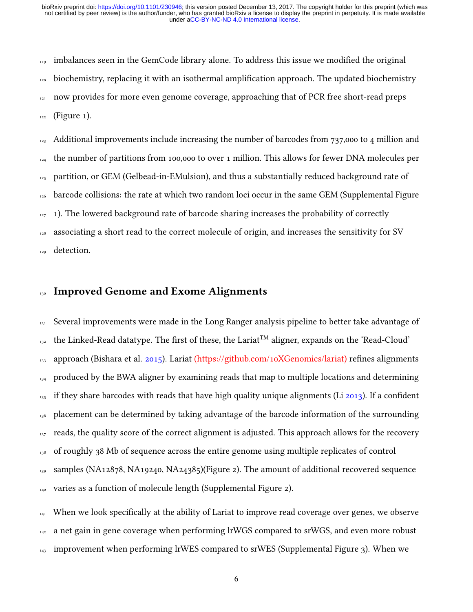$_{119}$  imbalances seen in the GemCode library alone. To address this issue we modified the original <sub>120</sub> biochemistry, replacing it with an isothermal amplification approach. The updated biochemistry  $121$  now provides for more even genome coverage, approaching that of PCR free short-read preps  $122$  (Figure 1).

 Additional improvements include increasing the number of barcodes from 737,000 to 4 million and the number of partitions from 100,000 to over 1 million. This allows for fewer DNA molecules per partition, or GEM (Gelbead-in-EMulsion), and thus a substantially reduced background rate of 126 barcode collisions: the rate at which two random loci occur in the same GEM (Supplemental Figure 1). The lowered background rate of barcode sharing increases the probability of correctly associating a short read to the correct molecule of origin, and increases the sensitivity for SV 129 detection.

#### <sup>130</sup> Improved Genome and Exome Alignments

 $_{131}$  Several improvements were made in the Long Ranger analysis pipeline to better take advantage of  $_{132}$  the Linked-Read datatype. The first of these, the Lariat<sup>TM</sup> aligner, expands on the 'Read-Cloud'  $133$  approach (Bishara et al. [2015\)](#page-38-6). Lariat [\(https://github.com/10XGenomics/lariat\)](https://github.com/10XGenomics/lariat) refines alignments <sup>134</sup> produced by the BWA aligner by examining reads that map to multiple locations and determining  $_{135}$  if they share barcodes with reads that have high quality unique alignments (Li [2013\)](#page-40-5). If a confident 136 placement can be determined by taking advantage of the barcode information of the surrounding  $137$  reads, the quality score of the correct alignment is adjusted. This approach allows for the recovery <sup>138</sup> of roughly 38 Mb of sequence across the entire genome using multiple replicates of control <sup>139</sup> samples (NA12878, NA19240, NA24385)(Figure 2). The amount of additional recovered sequence 140 varies as a function of molecule length (Supplemental Figure 2).

 $141$  When we look specifically at the ability of Lariat to improve read coverage over genes, we observe 142 a net gain in gene coverage when performing lrWGS compared to srWGS, and even more robust  $_{143}$  improvement when performing lrWES compared to srWES (Supplemental Figure 3). When we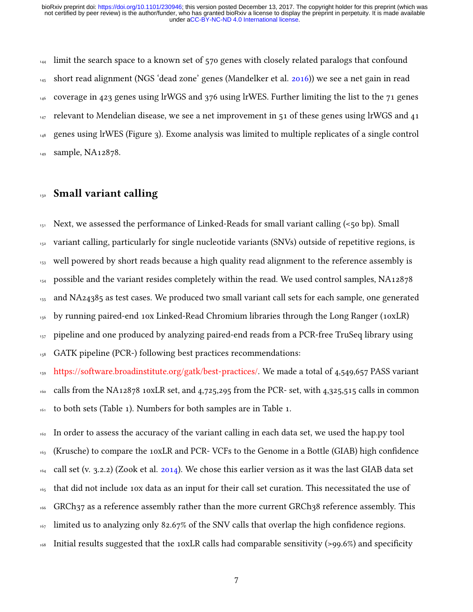$_{144}$  limit the search space to a known set of 570 genes with closely related paralogs that confound <sup>145</sup> short read alignment (NGS 'dead zone' genes (Mandelker et al. [2016\)](#page-40-3)) we see a net gain in read  $_{146}$  coverage in 423 genes using lrWGS and 376 using lrWES. Further limiting the list to the 71 genes  $_{147}$  relevant to Mendelian disease, we see a net improvement in 51 of these genes using lrWGS and 41 <sup>148</sup> genes using lrWES (Figure 3). Exome analysis was limited to multiple replicates of a single control 149 sample, NA12878.

### <sup>150</sup> Small variant calling

 $151$  Next, we assessed the performance of Linked-Reads for small variant calling ( $\lt 50$  bp). Small 152 variant calling, particularly for single nucleotide variants (SNVs) outside of repetitive regions, is <sup>153</sup> well powered by short reads because a high quality read alignment to the reference assembly is  $_{154}$  possible and the variant resides completely within the read. We used control samples, NA12878 <sup>155</sup> and NA24385 as test cases. We produced two small variant call sets for each sample, one generated 156 by running paired-end 10x Linked-Read Chromium libraries through the Long Ranger (10xLR) 157 pipeline and one produced by analyzing paired-end reads from a PCR-free TruSeq library using  $_{158}$  GATK pipeline (PCR-) following best practices recommendations:

<sup>159</sup> [https://software.broadinstitute.org/gatk/best-practices/.](https://software.broadinstitute.org/gatk/best-practices/) We made a total of 4,549,657 PASS variant <sup>160</sup> calls from the NA12878 10xLR set, and 4,725,295 from the PCR- set, with 4,325,515 calls in common 161 to both sets (Table 1). Numbers for both samples are in Table 1.

<sup>162</sup> In order to assess the accuracy of the variant calling in each data set, we used the hap.py tool 163 (Krusche) to compare the 10xLR and PCR-VCFs to the Genome in a Bottle (GIAB) high confidence  $164$  call set (v. 3.2.2) (Zook et al. [2014\)](#page-42-2). We chose this earlier version as it was the last GIAB data set <sup>165</sup> that did not include 10x data as an input for their call set curation. This necessitated the use of <sup>166</sup> GRCh37 as a reference assembly rather than the more current GRCh38 reference assembly. This  $167$  limited us to analyzing only 82.67% of the SNV calls that overlap the high confidence regions. 168 Initial results suggested that the 10xLR calls had comparable sensitivity (>99.6%) and specificity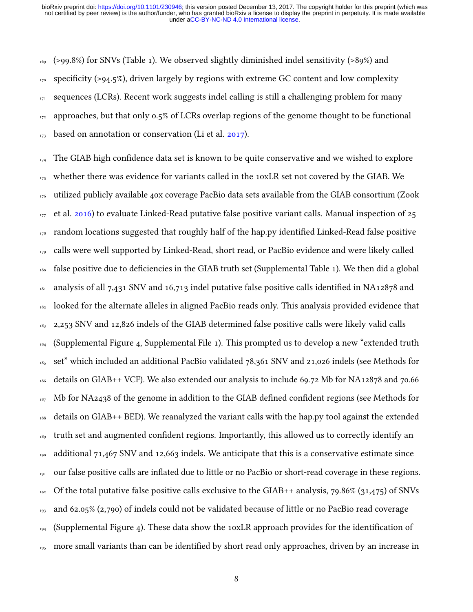$169$  (>99.8%) for SNVs (Table 1). We observed slightly diminished indel sensitivity (>89%) and  $170$  specificity (>94.5%), driven largely by regions with extreme GC content and low complexity 171 sequences (LCRs). Recent work suggests indel calling is still a challenging problem for many 172 approaches, but that only 0.5% of LCRs overlap regions of the genome thought to be functional  $_{173}$  based on annotation or conservation (Li et al. [2017\)](#page-40-6).

 The GIAB high confidence data set is known to be quite conservative and we wished to explore whether there was evidence for variants called in the 10xLR set not covered by the GIAB. We utilized publicly available 40x coverage PacBio data sets available from the GIAB consortium (Zook et al. [2016\)](#page-42-3) to evaluate Linked-Read putative false positive variant calls. Manual inspection of 25 random locations suggested that roughly half of the hap.py identified Linked-Read false positive 179 calls were well supported by Linked-Read, short read, or PacBio evidence and were likely called false positive due to deficiencies in the GIAB truth set (Supplemental Table 1). We then did a global analysis of all 7,431 SNV and 16,713 indel putative false positive calls identified in NA12878 and 182 looked for the alternate alleles in aligned PacBio reads only. This analysis provided evidence that 2,253 SNV and 12,826 indels of the GIAB determined false positive calls were likely valid calls (Supplemental Figure 4, Supplemental File 1). This prompted us to develop a new "extended truth 185 set" which included an additional PacBio validated 78,361 SNV and 21,026 indels (see Methods for details on GIAB++ VCF). We also extended our analysis to include 69.72 Mb for NA12878 and 70.66 Mb for NA2438 of the genome in addition to the GIAB defined confident regions (see Methods for details on GIAB++ BED). We reanalyzed the variant calls with the hap.py tool against the extended 189 truth set and augmented confident regions. Importantly, this allowed us to correctly identify an <sup>190</sup> additional 71,467 SNV and 12,663 indels. We anticipate that this is a conservative estimate since 191 our false positive calls are inflated due to little or no PacBio or short-read coverage in these regions. <sup>192</sup> Of the total putative false positive calls exclusive to the GIAB++ analysis, 79.86% (31,475) of SNVs and 62.05% (2,790) of indels could not be validated because of little or no PacBio read coverage (Supplemental Figure 4). These data show the 10xLR approach provides for the identification of 195 more small variants than can be identified by short read only approaches, driven by an increase in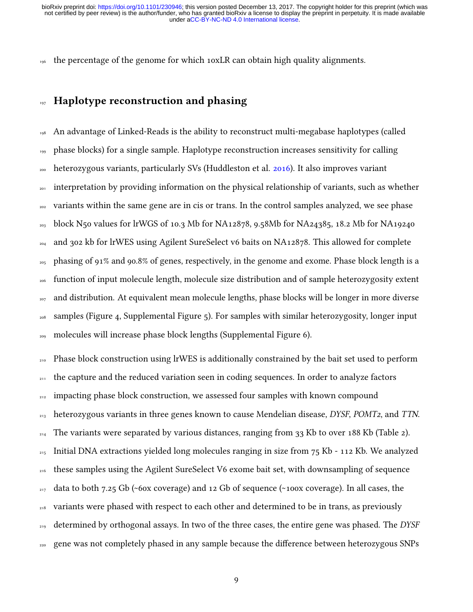196 the percentage of the genome for which 10xLR can obtain high quality alignments.

### 197 Haplotype reconstruction and phasing

 An advantage of Linked-Reads is the ability to reconstruct multi-megabase haplotypes (called phase blocks) for a single sample. Haplotype reconstruction increases sensitivity for calling heterozygous variants, particularly SVs (Huddleston et al. [2016\)](#page-40-7). It also improves variant interpretation by providing information on the physical relationship of variants, such as whether <sup>202</sup> variants within the same gene are in cis or trans. In the control samples analyzed, we see phase block N50 values for lrWGS of 10.3 Mb for NA12878, 9.58Mb for NA24385, 18.2 Mb for NA19240 <sup>204</sup> and 302 kb for lrWES using Agilent SureSelect v6 baits on NA12878. This allowed for complete phasing of 91% and 90.8% of genes, respectively, in the genome and exome. Phase block length is a function of input molecule length, molecule size distribution and of sample heterozygosity extent <sub>207</sub> and distribution. At equivalent mean molecule lengths, phase blocks will be longer in more diverse samples (Figure 4, Supplemental Figure 5). For samples with similar heterozygosity, longer input molecules will increase phase block lengths (Supplemental Figure 6).

<sub>210</sub> Phase block construction using lrWES is additionally constrained by the bait set used to perform <sup>211</sup> the capture and the reduced variation seen in coding sequences. In order to analyze factors <sup>212</sup> impacting phase block construction, we assessed four samples with known compound  $_{213}$  heterozygous variants in three genes known to cause Mendelian disease, DYSF, POMT2, and TTN. <sup>214</sup> The variants were separated by various distances, ranging from 33 Kb to over 188 Kb (Table 2).  $_{215}$  Initial DNA extractions yielded long molecules ranging in size from 75 Kb - 112 Kb. We analyzed <sup>216</sup> these samples using the Agilent SureSelect V6 exome bait set, with downsampling of sequence <sup>217</sup> data to both 7.25 Gb (~60x coverage) and 12 Gb of sequence (~100x coverage). In all cases, the <sub>218</sub> variants were phased with respect to each other and determined to be in trans, as previously  $_{219}$  determined by orthogonal assays. In two of the three cases, the entire gene was phased. The DYSF <sup>220</sup> gene was not completely phased in any sample because the difference between heterozygous SNPs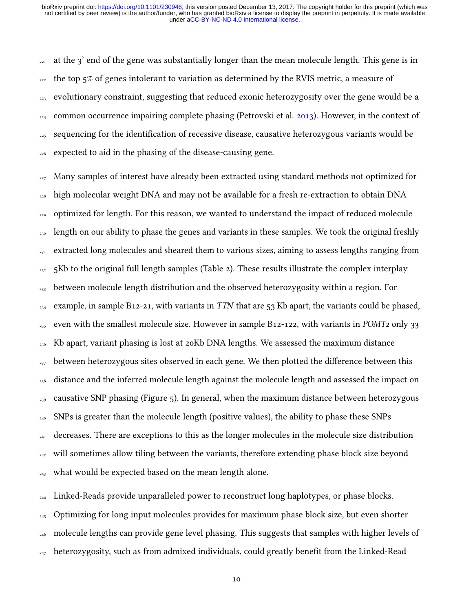$_{221}$  at the 3' end of the gene was substantially longer than the mean molecule length. This gene is in  $_{222}$  the top 5% of genes intolerant to variation as determined by the RVIS metric, a measure of <sup>223</sup> evolutionary constraint, suggesting that reduced exonic heterozygosity over the gene would be a  $_{224}$  common occurrence impairing complete phasing (Petrovski et al. [2013\)](#page-41-5). However, in the context of  $_{225}$  sequencing for the identification of recessive disease, causative heterozygous variants would be <sup>226</sup> expected to aid in the phasing of the disease-causing gene.

 $_{227}$  Many samples of interest have already been extracted using standard methods not optimized for <sub>228</sub> high molecular weight DNA and may not be available for a fresh re-extraction to obtain DNA <sub>229</sub> optimized for length. For this reason, we wanted to understand the impact of reduced molecule <sub>230</sub> length on our ability to phase the genes and variants in these samples. We took the original freshly  $_{231}$  extracted long molecules and sheared them to various sizes, aiming to assess lengths ranging from  $_{232}$  5Kb to the original full length samples (Table 2). These results illustrate the complex interplay  $_{233}$  between molecule length distribution and the observed heterozygosity within a region. For  $_{234}$  example, in sample B12-21, with variants in TTN that are 53 Kb apart, the variants could be phased, <sub>235</sub> even with the smallest molecule size. However in sample B12-122, with variants in *POMT2* only 33 <sup>236</sup> Kb apart, variant phasing is lost at 20Kb DNA lengths. We assessed the maximum distance  $_{237}$  between heterozygous sites observed in each gene. We then plotted the difference between this <sup>238</sup> distance and the inferred molecule length against the molecule length and assessed the impact on  $_{239}$  causative SNP phasing (Figure 5). In general, when the maximum distance between heterozygous <sup>240</sup> SNPs is greater than the molecule length (positive values), the ability to phase these SNPs  $_{241}$  decreases. There are exceptions to this as the longer molecules in the molecule size distribution <sup>242</sup> will sometimes allow tiling between the variants, therefore extending phase block size beyond  $_{243}$  what would be expected based on the mean length alone.

<sup>244</sup> Linked-Reads provide unparalleled power to reconstruct long haplotypes, or phase blocks. <sup>245</sup> Optimizing for long input molecules provides for maximum phase block size, but even shorter <sub>246</sub> molecule lengths can provide gene level phasing. This suggests that samples with higher levels of  $_{247}$  heterozygosity, such as from admixed individuals, could greatly benefit from the Linked-Read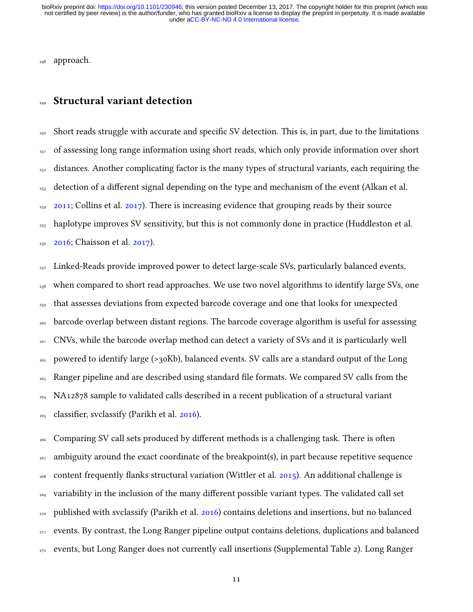<sup>248</sup> approach.

#### <sup>249</sup> Structural variant detection

<sup>250</sup> Short reads struggle with accurate and specific SV detection. This is, in part, due to the limitations  $_{251}$  of assessing long range information using short reads, which only provide information over short  $_{252}$  distances. Another complicating factor is the many types of structural variants, each requiring the <sup>253</sup> detection of a different signal depending on the type and mechanism of the event (Alkan et al.  $_{254}$  [2011;](#page-38-7) Collins et al. [2017\)](#page-39-3). There is increasing evidence that grouping reads by their source <sup>255</sup> haplotype improves SV sensitivity, but this is not commonly done in practice (Huddleston et al. <sup>256</sup> [2016;](#page-40-7) Chaisson et al. [2017\)](#page-38-3).

<sup>257</sup> Linked-Reads provide improved power to detect large-scale SVs, particularly balanced events, <sub>258</sub> when compared to short read approaches. We use two novel algorithms to identify large SVs, one  $_{259}$  that assesses deviations from expected barcode coverage and one that looks for unexpected <sup>260</sup> barcode overlap between distant regions. The barcode coverage algorithm is useful for assessing <sup>261</sup> CNVs, while the barcode overlap method can detect a variety of SVs and it is particularly well <sup>262</sup> powered to identify large (>30Kb), balanced events. SV calls are a standard output of the Long <sup>263</sup> Ranger pipeline and are described using standard file formats. We compared SV calls from the <sup>264</sup> NA12878 sample to validated calls described in a recent publication of a structural variant  $_{265}$  classifier, svclassify (Parikh et al. [2016\)](#page-41-6).

<sup>266</sup> Comparing SV call sets produced by different methods is a challenging task. There is often <sup>267</sup> ambiguity around the exact coordinate of the breakpoint(s), in part because repetitive sequence <sup>268</sup> content frequently flanks structural variation (Wittler et al. [2015\)](#page-42-4). An additional challenge is  $_{269}$  variability in the inclusion of the many different possible variant types. The validated call set 270 published with svclassify (Parikh et al. [2016\)](#page-41-6) contains deletions and insertions, but no balanced <sub>271</sub> events. By contrast, the Long Ranger pipeline output contains deletions, duplications and balanced  $_{272}$  events, but Long Ranger does not currently call insertions (Supplemental Table 2). Long Ranger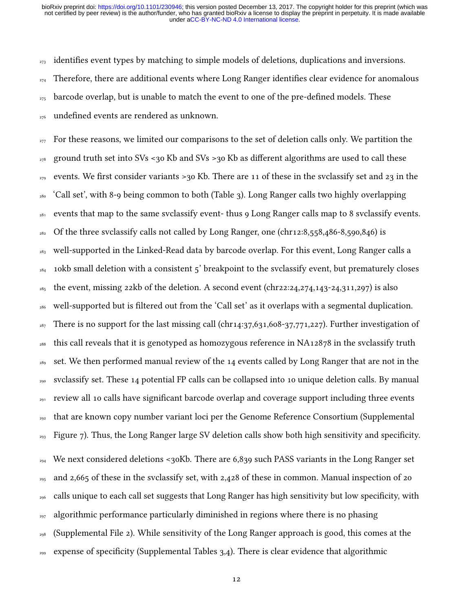$_{273}$  identifies event types by matching to simple models of deletions, duplications and inversions.  $_{274}$  Therefore, there are additional events where Long Ranger identifies clear evidence for anomalous  $_{275}$  barcode overlap, but is unable to match the event to one of the pre-defined models. These <sub>276</sub> undefined events are rendered as unknown.

<sub>277</sub> For these reasons, we limited our comparisons to the set of deletion calls only. We partition the <sup>278</sup> ground truth set into SVs <30 Kb and SVs >30 Kb as different algorithms are used to call these <sub>279</sub> events. We first consider variants >30 Kb. There are 11 of these in the svclassify set and 23 in the <sup>280</sup> 'Call set', with 8-9 being common to both (Table 3). Long Ranger calls two highly overlapping  $281$  events that map to the same svclassify event- thus 9 Long Ranger calls map to 8 svclassify events. <sup>282</sup> Of the three svclassify calls not called by Long Ranger, one (chr12:8,558,486-8,590,846) is <sup>283</sup> well-supported in the Linked-Read data by barcode overlap. For this event, Long Ranger calls a  $284$  10kb small deletion with a consistent 5' breakpoint to the svclassify event, but prematurely closes <sup>285</sup> the event, missing 22kb of the deletion. A second event (chr22:24,274,143-24,311,297) is also <sup>286</sup> well-supported but is filtered out from the 'Call set' as it overlaps with a segmental duplication. <sup>287</sup> There is no support for the last missing call (chr14:37,631,608-37,771,227). Further investigation of <sup>288</sup> this call reveals that it is genotyped as homozygous reference in NA12878 in the svclassify truth <sup>289</sup> set. We then performed manual review of the 14 events called by Long Ranger that are not in the <sup>290</sup> svclassify set. These 14 potential FP calls can be collapsed into 10 unique deletion calls. By manual  $_{291}$  review all 10 calls have significant barcode overlap and coverage support including three events <sup>292</sup> that are known copy number variant loci per the Genome Reference Consortium (Supplemental  $_{293}$  Figure 7). Thus, the Long Ranger large SV deletion calls show both high sensitivity and specificity.  $_{294}$  We next considered deletions <30Kb. There are 6,839 such PASS variants in the Long Ranger set <sup>295</sup> and 2,665 of these in the svclassify set, with 2,428 of these in common. Manual inspection of 20 <sub>296</sub> calls unique to each call set suggests that Long Ranger has high sensitivity but low specificity, with  $_{297}$  algorithmic performance particularly diminished in regions where there is no phasing <sup>298</sup> (Supplemental File 2). While sensitivity of the Long Ranger approach is good, this comes at the  $_{299}$  expense of specificity (Supplemental Tables 3,4). There is clear evidence that algorithmic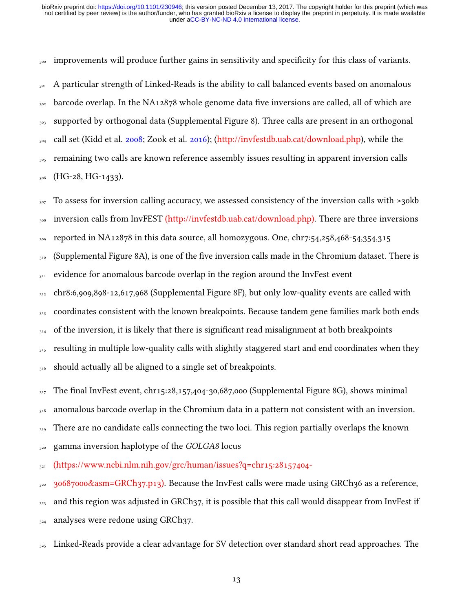<sub>300</sub> improvements will produce further gains in sensitivity and specificity for this class of variants.

<sup>301</sup> A particular strength of Linked-Reads is the ability to call balanced events based on anomalous  $302$  barcode overlap. In the NA12878 whole genome data five inversions are called, all of which are <sup>303</sup> supported by orthogonal data (Supplemental Figure 8). Three calls are present in an orthogonal 304 call set (Kidd et al. [2008;](#page-40-8) Zook et al. [2016\)](#page-42-3); [\(http://invfestdb.uab.cat/download.php\)](http://invfestdb.uab.cat/download.php), while the 305 remaining two calls are known reference assembly issues resulting in apparent inversion calls  $306$  (HG-28, HG-1433).

<sup>307</sup> To assess for inversion calling accuracy, we assessed consistency of the inversion calls with >30kb <sub>308</sub> inversion calls from InvFEST [\(http://invfestdb.uab.cat/download.php\).](http://invfestdb.uab.cat/download.php) There are three inversions 309 reported in NA12878 in this data source, all homozygous. One, chr7:54,258,468-54,354,315 310 (Supplemental Figure 8A), is one of the five inversion calls made in the Chromium dataset. There is  $311$  evidence for anomalous barcode overlap in the region around the InvFest event 312 chr8:6,909,898-12,617,968 (Supplemental Figure 8F), but only low-quality events are called with  $313$  coordinates consistent with the known breakpoints. Because tandem gene families mark both ends  $_{314}$  of the inversion, it is likely that there is significant read misalignment at both breakpoints <sup>315</sup> resulting in multiple low-quality calls with slightly staggered start and end coordinates when they 316 should actually all be aligned to a single set of breakpoints.

 $317$  The final InvFest event, chr15:28,157,404-30,687,000 (Supplemental Figure 8G), shows minimal

<sup>318</sup> anomalous barcode overlap in the Chromium data in a pattern not consistent with an inversion.

<sub>319</sub> There are no candidate calls connecting the two loci. This region partially overlaps the known

320 gamma inversion haplotype of the GOLGA8 locus

<sup>321</sup> [\(https://www.ncbi.nlm.nih.gov/grc/human/issues?q=chr15:28157404-](https://www.ncbi.nlm.nih.gov/grc/human/issues?q=chr15:28157404-30687000&asm=GRCh37.p13)

 $322$  [30687000&asm=GRCh37.p13\).](https://www.ncbi.nlm.nih.gov/grc/human/issues?q=chr15:28157404-30687000&asm=GRCh37.p13) Because the InvFest calls were made using GRCh36 as a reference,  $323$  and this region was adjusted in GRCh37, it is possible that this call would disappear from InvFest if  $_{324}$  analyses were redone using GRCh37.

<sub>325</sub> Linked-Reads provide a clear advantage for SV detection over standard short read approaches. The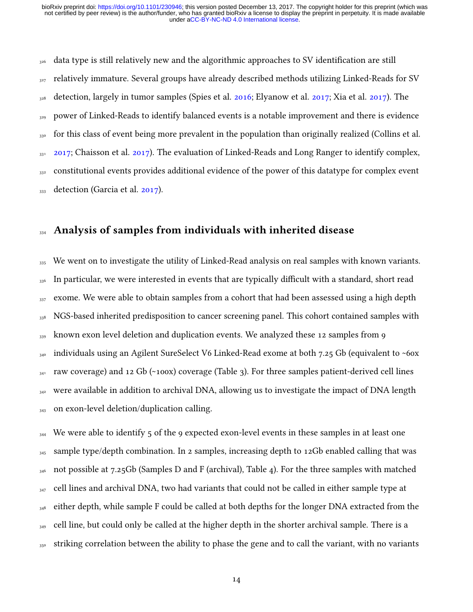$326$  data type is still relatively new and the algorithmic approaches to SV identification are still  $327$  relatively immature. Several groups have already described methods utilizing Linked-Reads for SV <sup>328</sup> detection, largely in tumor samples (Spies et al. [2016;](#page-41-7) Elyanow et al. [2017;](#page-39-7) Xia et al. [2017\)](#page-42-5). The <sup>329</sup> power of Linked-Reads to identify balanced events is a notable improvement and there is evidence 330 for this class of event being more prevalent in the population than originally realized (Collins et al.  $_{331}$  [2017;](#page-39-3) Chaisson et al. [2017\)](#page-38-3). The evaluation of Linked-Reads and Long Ranger to identify complex,  $332$  constitutional events provides additional evidence of the power of this datatype for complex event  $_{333}$  detection (Garcia et al. [2017\)](#page-39-8).

#### Analysis of samples from individuals with inherited disease

<sup>335</sup> We went on to investigate the utility of Linked-Read analysis on real samples with known variants.  $_{336}$  In particular, we were interested in events that are typically difficult with a standard, short read  $_{337}$  exome. We were able to obtain samples from a cohort that had been assessed using a high depth 338 NGS-based inherited predisposition to cancer screening panel. This cohort contained samples with  $_{339}$  known exon level deletion and duplication events. We analyzed these 12 samples from 9  $_{349}$  individuals using an Agilent SureSelect V6 Linked-Read exome at both 7.25 Gb (equivalent to ~60x  $_{341}$  raw coverage) and 12 Gb (~100x) coverage (Table 3). For three samples patient-derived cell lines  $342$  were available in addition to archival DNA, allowing us to investigate the impact of DNA length 343 on exon-level deletion/duplication calling.

 $_{344}$  We were able to identify 5 of the 9 expected exon-level events in these samples in at least one  $_{345}$  sample type/depth combination. In 2 samples, increasing depth to 12Gb enabled calling that was 346 not possible at 7.25Gb (Samples D and F (archival), Table 4). For the three samples with matched  $_{347}$  cell lines and archival DNA, two had variants that could not be called in either sample type at <sup>348</sup> either depth, while sample F could be called at both depths for the longer DNA extracted from the  $_{349}$  cell line, but could only be called at the higher depth in the shorter archival sample. There is a 350 striking correlation between the ability to phase the gene and to call the variant, with no variants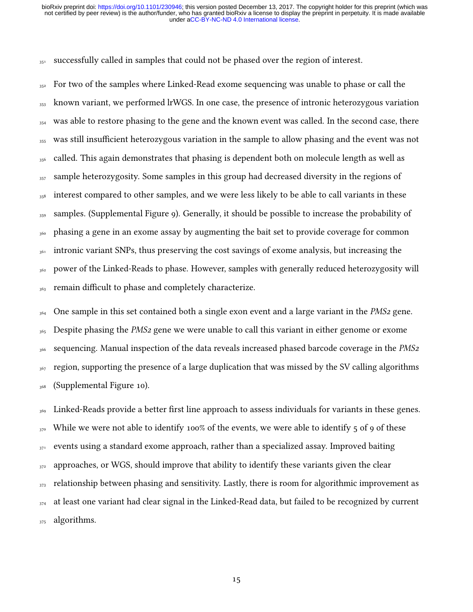351 successfully called in samples that could not be phased over the region of interest.

 $352$  For two of the samples where Linked-Read exome sequencing was unable to phase or call the <sup>353</sup> known variant, we performed lrWGS. In one case, the presence of intronic heterozygous variation <sup>354</sup> was able to restore phasing to the gene and the known event was called. In the second case, there <sup>355</sup> was still insufficient heterozygous variation in the sample to allow phasing and the event was not  $_{356}$  called. This again demonstrates that phasing is dependent both on molecule length as well as  $357$  sample heterozygosity. Some samples in this group had decreased diversity in the regions of <sub>358</sub> interest compared to other samples, and we were less likely to be able to call variants in these <sup>359</sup> samples. (Supplemental Figure 9). Generally, it should be possible to increase the probability of <sup>360</sup> phasing a gene in an exome assay by augmenting the bait set to provide coverage for common <sup>361</sup> intronic variant SNPs, thus preserving the cost savings of exome analysis, but increasing the 362 power of the Linked-Reads to phase. However, samples with generally reduced heterozygosity will 363 remain difficult to phase and completely characterize.

 $364$  One sample in this set contained both a single exon event and a large variant in the *PMS2* gene.  $365$  Despite phasing the PMS<sub>2</sub> gene we were unable to call this variant in either genome or exome <sub>366</sub> sequencing. Manual inspection of the data reveals increased phased barcode coverage in the *PMS2* <sup>367</sup> region, supporting the presence of a large duplication that was missed by the SV calling algorithms <sup>368</sup> (Supplemental Figure 10).

 $_{369}$  Linked-Reads provide a better first line approach to assess individuals for variants in these genes.  $370$  While we were not able to identify 100% of the events, we were able to identify 5 of 9 of these  $371$  events using a standard exome approach, rather than a specialized assay. Improved baiting  $372$  approaches, or WGS, should improve that ability to identify these variants given the clear <sup>373</sup> relationship between phasing and sensitivity. Lastly, there is room for algorithmic improvement as  $374$  at least one variant had clear signal in the Linked-Read data, but failed to be recognized by current <sub>375</sub> algorithms.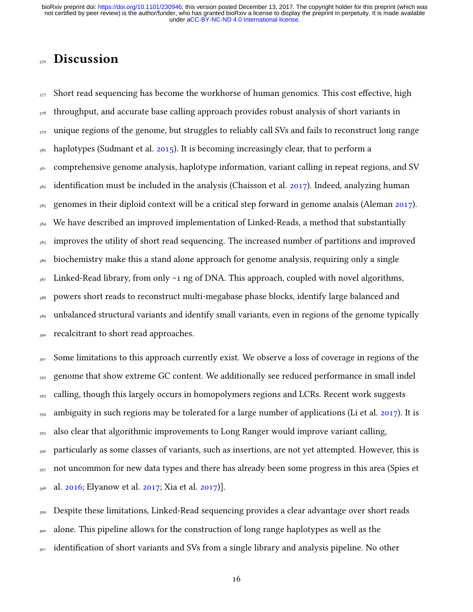## **Discussion**

 $377$  Short read sequencing has become the workhorse of human genomics. This cost effective, high <sup>378</sup> throughput, and accurate base calling approach provides robust analysis of short variants in <sub>379</sub> unique regions of the genome, but struggles to reliably call SVs and fails to reconstruct long range  $380$  haplotypes (Sudmant et al.  $2015$ ). It is becoming increasingly clear, that to perform a <sup>381</sup> comprehensive genome analysis, haplotype information, variant calling in repeat regions, and SV  $382$  identification must be included in the analysis (Chaisson et al. [2017\)](#page-38-3). Indeed, analyzing human  $383$  genomes in their diploid context will be a critical step forward in genome analsis (Aleman [2017\)](#page-38-8). <sup>384</sup> We have described an improved implementation of Linked-Reads, a method that substantially <sup>385</sup> improves the utility of short read sequencing. The increased number of partitions and improved <sup>386</sup> biochemistry make this a stand alone approach for genome analysis, requiring only a single  $387$  Linked-Read library, from only  $\sim$ 1 ng of DNA. This approach, coupled with novel algorithms, <sup>388</sup> powers short reads to reconstruct multi-megabase phase blocks, identify large balanced and <sup>389</sup> unbalanced structural variants and identify small variants, even in regions of the genome typically 390 recalcitrant to short read approaches.

391 Some limitations to this approach currently exist. We observe a loss of coverage in regions of the <sup>392</sup> genome that show extreme GC content. We additionally see reduced performance in small indel  $_{393}$  calling, though this largely occurs in homopolymers regions and LCRs. Recent work suggests 394 ambiguity in such regions may be tolerated for a large number of applications (Li et al. [2017\)](#page-40-6). It is <sup>395</sup> also clear that algorithmic improvements to Long Ranger would improve variant calling, <sup>396</sup> particularly as some classes of variants, such as insertions, are not yet attempted. However, this is 397 not uncommon for new data types and there has already been some progress in this area (Spies et  $_{398}$  al. [2016;](#page-41-7) Elyanow et al. [2017;](#page-39-7) Xia et al. [2017\)](#page-42-5)].

<sup>399</sup> Despite these limitations, Linked-Read sequencing provides a clear advantage over short reads <sup>400</sup> alone. This pipeline allows for the construction of long range haplotypes as well as the <sup>401</sup> identification of short variants and SVs from a single library and analysis pipeline. No other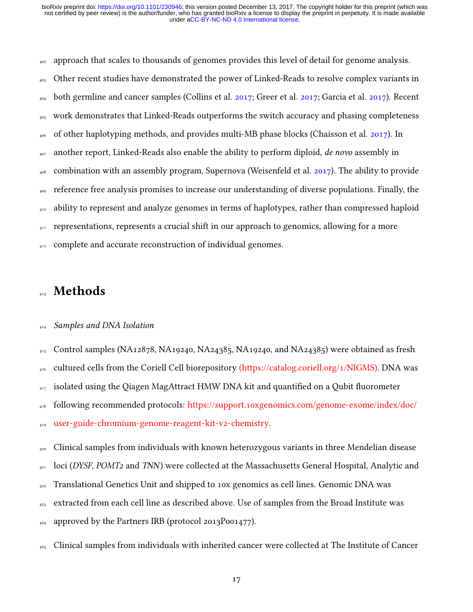<sub>402</sub> approach that scales to thousands of genomes provides this level of detail for genome analysis.  $_{493}$  Other recent studies have demonstrated the power of Linked-Reads to resolve complex variants in <sup>404</sup> both germline and cancer samples (Collins et al. [2017;](#page-39-9) Greer et al. 2017; Garcia et al. [2017\)](#page-39-8). Recent <sup>405</sup> work demonstrates that Linked-Reads outperforms the switch accuracy and phasing completeness <sup>406</sup> of other haplotyping methods, and provides multi-MB phase blocks (Chaisson et al. [2017\)](#page-38-3). In  $407$  another report, Linked-Reads also enable the ability to perform diploid, de novo assembly in <sub>408</sub> combination with an assembly program, Supernova (Weisenfeld et al. [2017\)](#page-42-0). The ability to provide <sup>409</sup> reference free analysis promises to increase our understanding of diverse populations. Finally, the <sup>410</sup> ability to represent and analyze genomes in terms of haplotypes, rather than compressed haploid <sup>411</sup> representations, represents a crucial shift in our approach to genomics, allowing for a more

<sub>412</sub> complete and accurate reconstruction of individual genomes.

### **Methods**

#### 414 Samples and DNA Isolation

<sup>415</sup> Control samples (NA12878, NA19240, NA24385, NA19240, and NA24385) were obtained as fresh

<sub>416</sub> cultured cells from the Coriell Cell biorepository [\(https://catalog.coriell.org/1/NIGMS\).](https://catalog.coriell.org/1/NIGMS) DNA was

 $417$  isolated using the Qiagen MagAttract HMW DNA kit and quantified on a Qubit fluorometer

<sup>418</sup> [f](https://support.10xgenomics.com/genome-exome/index/doc/user-guide-chromium-genome-reagent-kit-v2-chemistry)ollowing recommended protocols: [https://support.10xgenomics.com/genome-exome/index/doc/](https://support.10xgenomics.com/genome-exome/index/doc/user-guide-chromium-genome-reagent-kit-v2-chemistry)

<sup>419</sup> [user-guide-chromium-genome-reagent-kit-v2-chemistry.](https://support.10xgenomics.com/genome-exome/index/doc/user-guide-chromium-genome-reagent-kit-v2-chemistry)

<sup>420</sup> Clinical samples from individuals with known heterozygous variants in three Mendelian disease

 $_{421}$  loci (DYSF, POMT<sub>2</sub> and TNN) were collected at the Massachusetts General Hospital, Analytic and

- $422$  Translational Genetics Unit and shipped to 10x genomics as cell lines. Genomic DNA was
- <sup>423</sup> extracted from each cell line as described above. Use of samples from the Broad Institute was

 $_{424}$  approved by the Partners IRB (protocol 2013P001477).

425 Clinical samples from individuals with inherited cancer were collected at The Institute of Cancer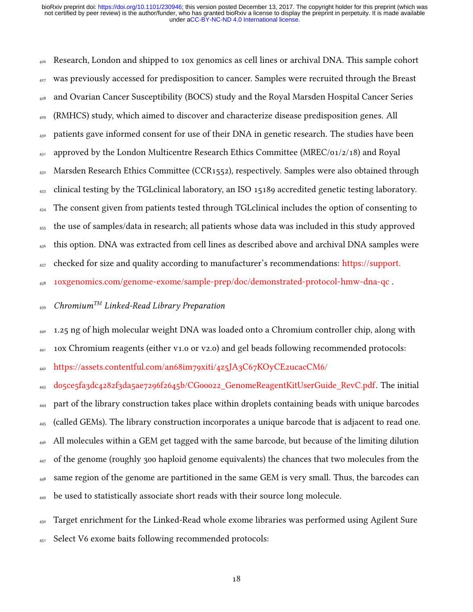$_{426}$  Research, London and shipped to 10x genomics as cell lines or archival DNA. This sample cohort  $427$  was previously accessed for predisposition to cancer. Samples were recruited through the Breast <sup>428</sup> and Ovarian Cancer Susceptibility (BOCS) study and the Royal Marsden Hospital Cancer Series <sup>429</sup> (RMHCS) study, which aimed to discover and characterize disease predisposition genes. All <sup>430</sup> patients gave informed consent for use of their DNA in genetic research. The studies have been  $_{431}$  approved by the London Multicentre Research Ethics Committee (MREC/01/2/18) and Royal  $432$  Marsden Research Ethics Committee (CCR1552), respectively. Samples were also obtained through <sup>433</sup> clinical testing by the TGLclinical laboratory, an ISO 15189 accredited genetic testing laboratory. <sup>434</sup> The consent given from patients tested through TGLclinical includes the option of consenting to <sup>435</sup> the use of samples/data in research; all patients whose data was included in this study approved  $_{436}$  this option. DNA was extracted from cell lines as described above and archival DNA samples were 437 [c](https://support.10xgenomics.com/genome-exome/sample-prep/doc/demonstrated-protocol-hmw-dna-qc)hecked for size and quality according to manufacturer's recommendations: [https://support.](https://support.10xgenomics.com/genome-exome/sample-prep/doc/demonstrated-protocol-hmw-dna-qc) <sup>438</sup> [10xgenomics.com/genome-exome/sample-prep/doc/demonstrated-protocol-hmw-dna-qc](https://support.10xgenomics.com/genome-exome/sample-prep/doc/demonstrated-protocol-hmw-dna-qc) .

### $_{439}$  Chromium<sup>TM</sup> Linked-Read Library Preparation

 $_{440}$  1.25 ng of high molecular weight DNA was loaded onto a Chromium controller chip, along with

 $_{441}$  10x Chromium reagents (either v1.0 or v2.0) and gel beads following recommended protocols:

<sup>442</sup> [https://assets.contentful.com/an68im79xiti/4z5JA3C67KOyCE2ucacCM6/](https://assets.contentful.com/an68im79xiti/4z5JA3C67KOyCE2ucacCM6/d05ce5fa3dc4282f3da5ae7296f2645b/CG00022_GenomeReagentKitUserGuide_RevC.pdf)

<sup>443</sup> [d05ce5fa3dc4282f3da5ae7296f2645b/CG00022\\_GenomeReagentKitUserGuide\\_RevC.pdf.](https://assets.contentful.com/an68im79xiti/4z5JA3C67KOyCE2ucacCM6/d05ce5fa3dc4282f3da5ae7296f2645b/CG00022_GenomeReagentKitUserGuide_RevC.pdf) The initial <sup>444</sup> part of the library construction takes place within droplets containing beads with unique barcodes <sup>445</sup> (called GEMs). The library construction incorporates a unique barcode that is adjacent to read one. <sup>446</sup> All molecules within a GEM get tagged with the same barcode, but because of the limiting dilution <sup>447</sup> of the genome (roughly 300 haploid genome equivalents) the chances that two molecules from the <sup>448</sup> same region of the genome are partitioned in the same GEM is very small. Thus, the barcodes can <sup>449</sup> be used to statistically associate short reads with their source long molecule.

<sup>450</sup> Target enrichment for the Linked-Read whole exome libraries was performed using Agilent Sure <sup>451</sup> Select V6 exome baits following recommended protocols: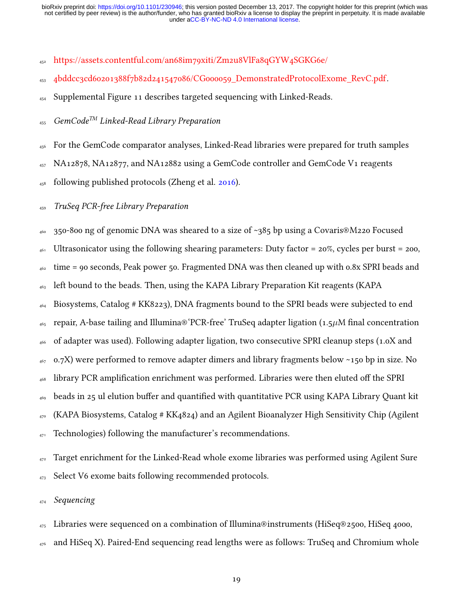- <sup>452</sup> [https://assets.contentful.com/an68im79xiti/Zm2u8VlFa8qGYW4SGKG6e/](https://assets.contentful.com/an68im79xiti/Zm2u8VlFa8qGYW4SGKG6e/4bddcc3cd60201388f7b82d241547086/CG000059_DemonstratedProtocolExome_RevC.pdf)
- <sup>453</sup> [4bddcc3cd60201388f7b82d241547086/CG000059\\_DemonstratedProtocolExome\\_RevC.pdf.](https://assets.contentful.com/an68im79xiti/Zm2u8VlFa8qGYW4SGKG6e/4bddcc3cd60201388f7b82d241547086/CG000059_DemonstratedProtocolExome_RevC.pdf)
- <sup>454</sup> Supplemental Figure 11 describes targeted sequencing with Linked-Reads.

 $_{455}$  GemCode<sup>TM</sup> Linked-Read Library Preparation

- <sup>456</sup> For the GemCode comparator analyses, Linked-Read libraries were prepared for truth samples
- <sup>457</sup> NA12878, NA12877, and NA12882 using a GemCode controller and GemCode V1 reagents
- $_{458}$  following published protocols (Zheng et al. [2016\)](#page-42-1).

<sup>459</sup> TruSeq PCR-free Library Preparation

 $_{460}$  350-800 ng of genomic DNA was sheared to a size of ~385 bp using a Covaris®M220 Focused <sup>461</sup> Ultrasonicator using the following shearing parameters: Duty factor = 20%, cycles per burst = 200,  $_{462}$  time = 90 seconds, Peak power 50. Fragmented DNA was then cleaned up with 0.8x SPRI beads and <sup>463</sup> left bound to the beads. Then, using the KAPA Library Preparation Kit reagents (KAPA <sup>464</sup> Biosystems, Catalog # KK8223), DNA fragments bound to the SPRI beads were subjected to end  $_{465}$  repair, A-base tailing and Illumina® PCR-free' TruSeq adapter ligation (1.5 $\mu$ M final concentration <sup>466</sup> of adapter was used). Following adapter ligation, two consecutive SPRI cleanup steps (1.0X and  $467$  0.7X) were performed to remove adapter dimers and library fragments below ~150 bp in size. No <sup>468</sup> library PCR amplification enrichment was performed. Libraries were then eluted off the SPRI  $_{469}$  beads in 25 ul elution buffer and quantified with quantitative PCR using KAPA Library Quant kit  $_{470}$  (KAPA Biosystems, Catalog # KK4824) and an Agilent Bioanalyzer High Sensitivity Chip (Agilent 471 Technologies) following the manufacturer's recommendations.

 $_{472}$  Target enrichment for the Linked-Read whole exome libraries was performed using Agilent Sure 473 Select V6 exome baits following recommended protocols.

474 Sequencing

 $_{475}$  Libraries were sequenced on a combination of Illumina®instruments (HiSeq®2500, HiSeq 4000,

 $_{476}$  and HiSeq X). Paired-End sequencing read lengths were as follows: TruSeq and Chromium whole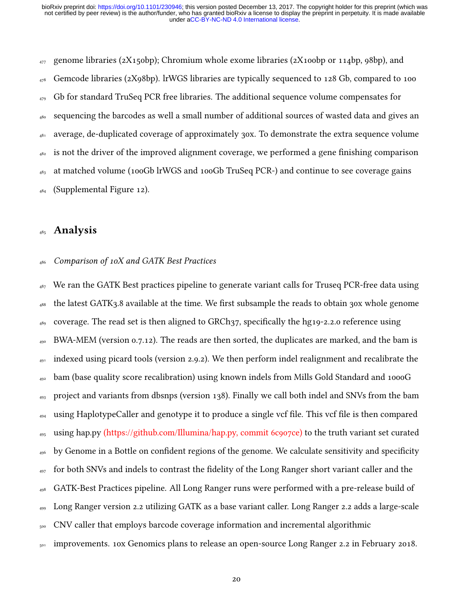$_{477}$  genome libraries (2X150bp); Chromium whole exome libraries (2X100bp or 114bp, 98bp), and  $_{478}$  Gemcode libraries (2X98bp). lrWGS libraries are typically sequenced to 128 Gb, compared to 100  $_{479}$  Gb for standard TruSeq PCR free libraries. The additional sequence volume compensates for <sup>480</sup> sequencing the barcodes as well a small number of additional sources of wasted data and gives an <sup>481</sup> average, de-duplicated coverage of approximately 30x. To demonstrate the extra sequence volume  $482$  is not the driver of the improved alignment coverage, we performed a gene finishing comparison <sup>483</sup> at matched volume (100Gb lrWGS and 100Gb TruSeq PCR-) and continue to see coverage gains  $484$  (Supplemental Figure 12).

### <sup>485</sup> Analysis

#### <sup>486</sup> Comparison of 10X and GATK Best Practices

 $487$  We ran the GATK Best practices pipeline to generate variant calls for Truseq PCR-free data using  $488$  the latest GATK3.8 available at the time. We first subsample the reads to obtain 30x whole genome  $489$  coverage. The read set is then aligned to GRCh37, specifically the hg19-2.2.0 reference using  $_{490}$  BWA-MEM (version 0.7.12). The reads are then sorted, the duplicates are marked, and the bam is  $_{491}$  indexed using picard tools (version 2.9.2). We then perform indel realignment and recalibrate the <sup>492</sup> bam (base quality score recalibration) using known indels from Mills Gold Standard and 1000G <sup>493</sup> project and variants from dbsnps (version 138). Finally we call both indel and SNVs from the bam  $_{494}$  using HaplotypeCaller and genotype it to produce a single vcf file. This vcf file is then compared <sup>495</sup> using hap.py [\(https://github.com/Illumina/hap.py, commit 6c907ce\)](https://github.com/Illumina/hap.py,%20commit%206c907ce) to the truth variant set curated  $_{496}$  by Genome in a Bottle on confident regions of the genome. We calculate sensitivity and specificity  $_{497}$  for both SNVs and indels to contrast the fidelity of the Long Ranger short variant caller and the <sup>498</sup> GATK-Best Practices pipeline. All Long Ranger runs were performed with a pre-release build of <sup>499</sup> Long Ranger version 2.2 utilizing GATK as a base variant caller. Long Ranger 2.2 adds a large-scale <sub>500</sub> CNV caller that employs barcode coverage information and incremental algorithmic 501 improvements. 10x Genomics plans to release an open-source Long Ranger 2.2 in February 2018.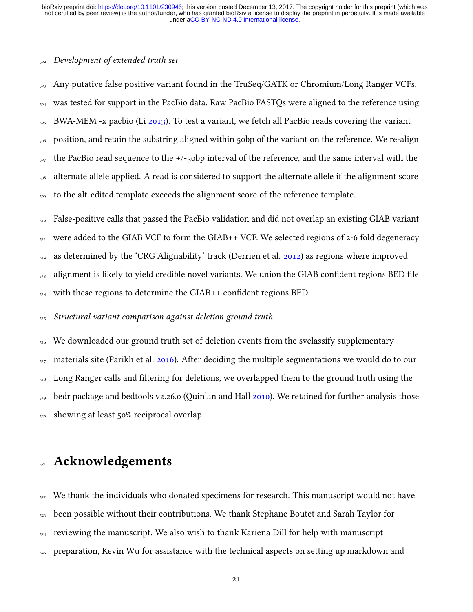#### <sup>502</sup> Development of extended truth set

<sub>503</sub> Any putative false positive variant found in the TruSeq/GATK or Chromium/Long Ranger VCFs, <sub>504</sub> was tested for support in the PacBio data. Raw PacBio FASTQs were aligned to the reference using  $_{505}$  BWA-MEM -x pacbio (Li [2013\)](#page-40-5). To test a variant, we fetch all PacBio reads covering the variant <sup>506</sup> position, and retain the substring aligned within 50bp of the variant on the reference. We re-align  $_{507}$  the PacBio read sequence to the  $+/-5$ obp interval of the reference, and the same interval with the <sub>508</sub> alternate allele applied. A read is considered to support the alternate allele if the alignment score 509 to the alt-edited template exceeds the alignment score of the reference template.

<sub>510</sub> False-positive calls that passed the PacBio validation and did not overlap an existing GIAB variant 511 were added to the GIAB VCF to form the GIAB++ VCF. We selected regions of 2-6 fold degeneracy  $_{512}$  as determined by the 'CRG Alignability' track (Derrien et al. [2012\)](#page-39-10) as regions where improved  $_{513}$  alignment is likely to yield credible novel variants. We union the GIAB confident regions BED file  $_{514}$  with these regions to determine the GIAB++ confident regions BED.

<sup>515</sup> Structural variant comparison against deletion ground truth

<sub>516</sub> We downloaded our ground truth set of deletion events from the svclassify supplementary  $_{517}$  materials site (Parikh et al. [2016\)](#page-41-6). After deciding the multiple segmentations we would do to our <sub>518</sub> Long Ranger calls and filtering for deletions, we overlapped them to the ground truth using the  $_{519}$  bedr package and bedtools v2.26.0 (Quinlan and Hall [2010\)](#page-41-8). We retained for further analysis those  $_{520}$  showing at least 50% reciprocal overlap.

### 521 Acknowledgements

 $522$  We thank the individuals who donated specimens for research. This manuscript would not have  $<sub>523</sub>$  been possible without their contributions. We thank Stephane Boutet and Sarah Taylor for</sub>  $_{524}$  reviewing the manuscript. We also wish to thank Kariena Dill for help with manuscript  $_{525}$  preparation, Kevin Wu for assistance with the technical aspects on setting up markdown and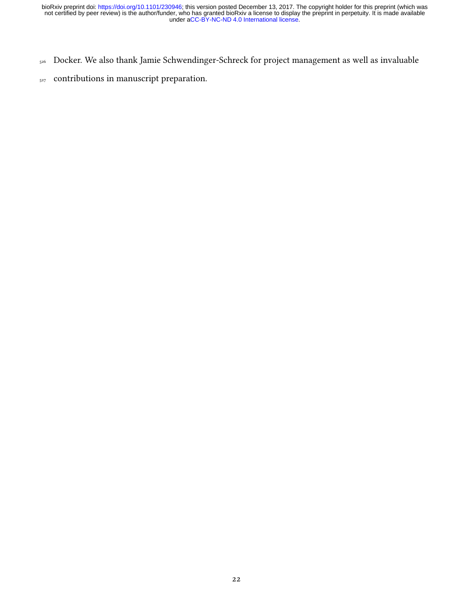- 526 Docker. We also thank Jamie Schwendinger-Schreck for project management as well as invaluable
- <sub>527</sub> contributions in manuscript preparation.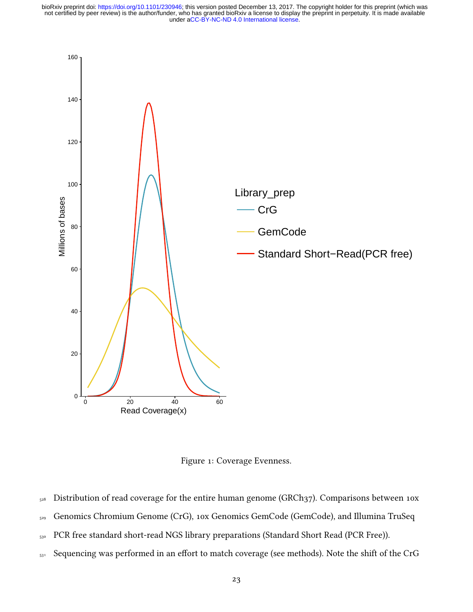

Figure 1: Coverage Evenness.

- <sub>528</sub> Distribution of read coverage for the entire human genome (GRCh37). Comparisons between 10x
- 529 Genomics Chromium Genome (CrG), 10x Genomics GemCode (GemCode), and Illumina TruSeq
- 530 PCR free standard short-read NGS library preparations (Standard Short Read (PCR Free)).
- $_{531}$  Sequencing was performed in an effort to match coverage (see methods). Note the shift of the CrG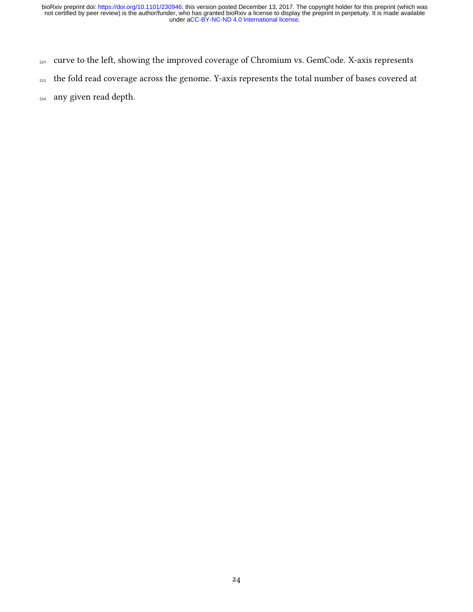- 532 curve to the left, showing the improved coverage of Chromium vs. GemCode. X-axis represents
- <sub>533</sub> the fold read coverage across the genome. Y-axis represents the total number of bases covered at
- <sup>534</sup> any given read depth.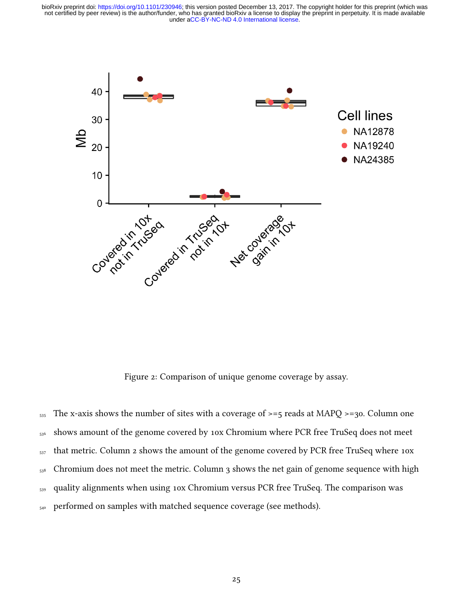

Figure 2: Comparison of unique genome coverage by assay.

 $_{535}$  The x-axis shows the number of sites with a coverage of  $\ge$ =5 reads at MAPQ  $\ge$ =30. Column one <sub>536</sub> shows amount of the genome covered by 10x Chromium where PCR free TruSeq does not meet  $_{537}$  that metric. Column 2 shows the amount of the genome covered by PCR free TruSeq where 10x  $_{538}$  Chromium does not meet the metric. Column 3 shows the net gain of genome sequence with high <sub>539</sub> quality alignments when using 10x Chromium versus PCR free TruSeq. The comparison was 540 performed on samples with matched sequence coverage (see methods).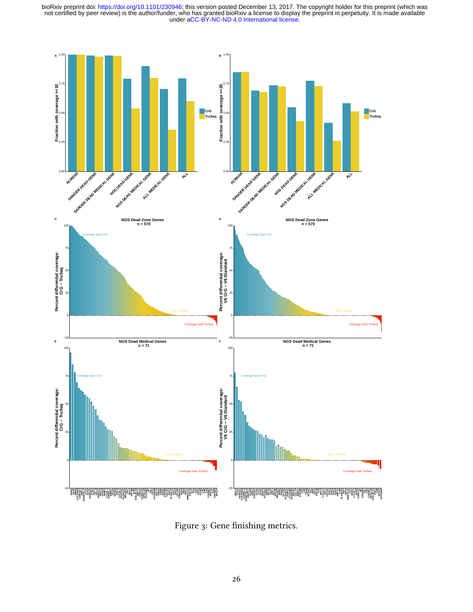

Figure 3: Gene finishing metrics.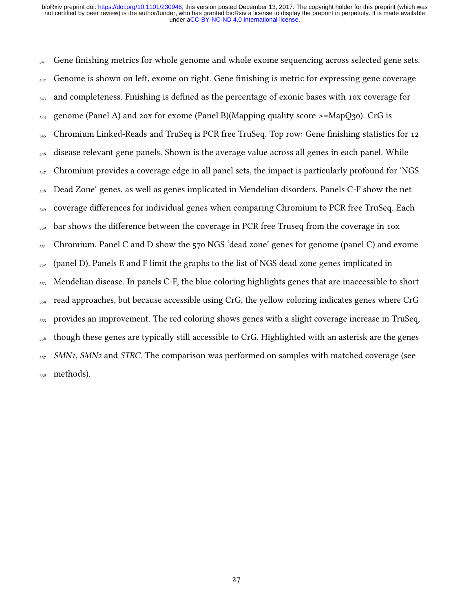$_{541}$  Gene finishing metrics for whole genome and whole exome sequencing across selected gene sets.  $_{542}$  Genome is shown on left, exome on right. Gene finishing is metric for expressing gene coverage <sub>543</sub> and completeness. Finishing is defined as the percentage of exonic bases with 10x coverage for  $_{544}$  genome (Panel A) and 20x for exome (Panel B)(Mapping quality score >=MapQ30). CrG is  $_{545}$  Chromium Linked-Reads and TruSeq is PCR free TruSeq. Top row: Gene finishing statistics for 12 <sup>546</sup> disease relevant gene panels. Shown is the average value across all genes in each panel. While  $_{547}$  Chromium provides a coverage edge in all panel sets, the impact is particularly profound for 'NGS <sub>548</sub> Dead Zone' genes, as well as genes implicated in Mendelian disorders. Panels C-F show the net 549 coverage differences for individual genes when comparing Chromium to PCR free TruSeq. Each  $_{550}$  bar shows the difference between the coverage in PCR free Truseq from the coverage in 10x  $_{551}$  Chromium. Panel C and D show the 570 NGS 'dead zone' genes for genome (panel C) and exome <sup>552</sup> (panel D). Panels E and F limit the graphs to the list of NGS dead zone genes implicated in <sup>553</sup> Mendelian disease. In panels C-F, the blue coloring highlights genes that are inaccessible to short <sub>554</sub> read approaches, but because accessible using CrG, the yellow coloring indicates genes where CrG <sup>555</sup> provides an improvement. The red coloring shows genes with a slight coverage increase in TruSeq, <sup>556</sup> though these genes are typically still accessible to CrG. Highlighted with an asterisk are the genes  $557$  SMN<sub>1</sub>, SMN<sub>2</sub> and STRC. The comparison was performed on samples with matched coverage (see <sub>558</sub> methods).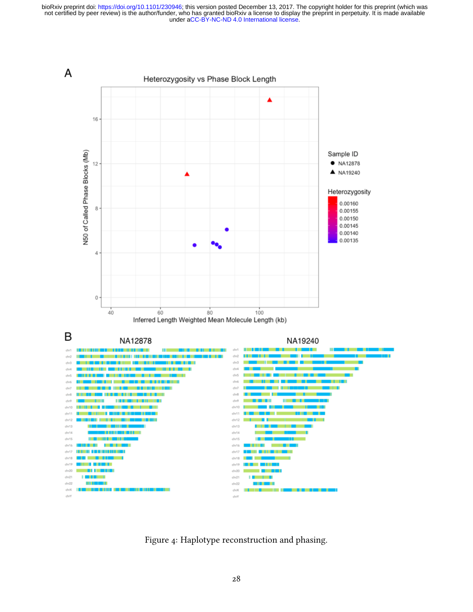

Figure 4: Haplotype reconstruction and phasing.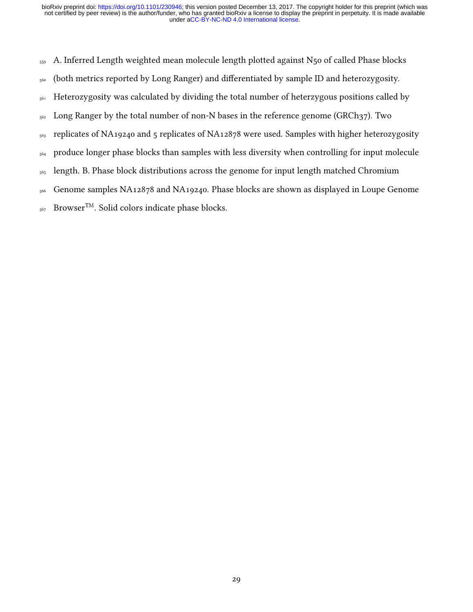<sub>559</sub> A. Inferred Length weighted mean molecule length plotted against N<sub>50</sub> of called Phase blocks

- 560 (both metrics reported by Long Ranger) and differentiated by sample ID and heterozygosity.
- 561 Heterozygosity was calculated by dividing the total number of heterzygous positions called by
- <sub>562</sub> Long Ranger by the total number of non-N bases in the reference genome (GRCh37). Two
- <sub>563</sub> replicates of NA19240 and 5 replicates of NA12878 were used. Samples with higher heterozygosity
- <sub>564</sub> produce longer phase blocks than samples with less diversity when controlling for input molecule
- <sub>565</sub> length. B. Phase block distributions across the genome for input length matched Chromium
- <sup>566</sup> Genome samples NA12878 and NA19240. Phase blocks are shown as displayed in Loupe Genome
- 567 Browser<sup>TM</sup>. Solid colors indicate phase blocks.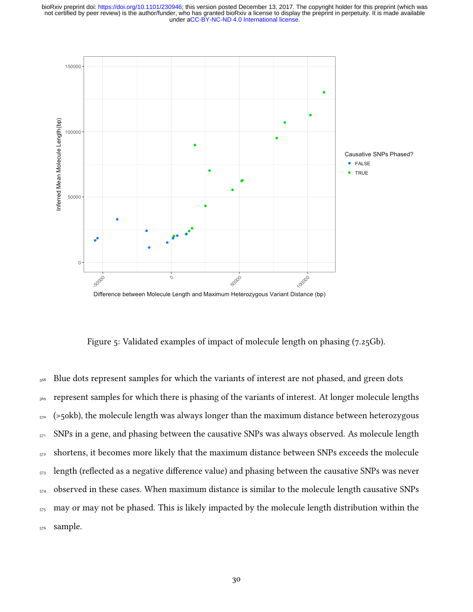

Figure 5: Validated examples of impact of molecule length on phasing (7.25Gb).

<sub>568</sub> Blue dots represent samples for which the variants of interest are not phased, and green dots <sub>569</sub> represent samples for which there is phasing of the variants of interest. At longer molecule lengths  $_{570}$  (>50kb), the molecule length was always longer than the maximum distance between heterozygous 571 SNPs in a gene, and phasing between the causative SNPs was always observed. As molecule length  $<sub>572</sub>$  shortens, it becomes more likely that the maximum distance between SNPs exceeds the molecule</sub> <sub>573</sub> length (reflected as a negative difference value) and phasing between the causative SNPs was never  $574$  observed in these cases. When maximum distance is similar to the molecule length causative SNPs  $_{575}$  may or may not be phased. This is likely impacted by the molecule length distribution within the <sub>576</sub> sample.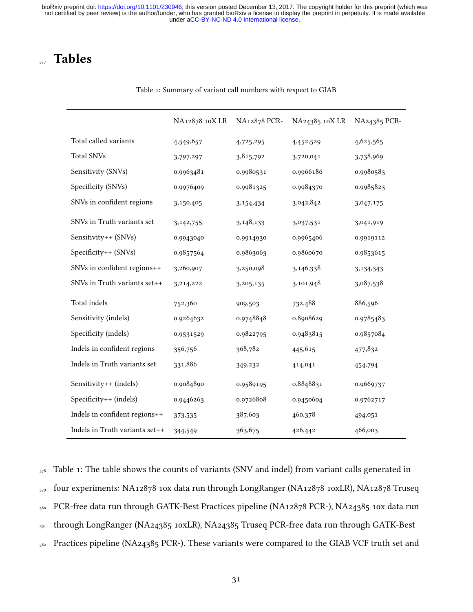## <sub>577</sub> Tables

|                                | NA12878 10X LR | NA12878 PCR- | NA24385 10X LR | NA24385 PCR- |
|--------------------------------|----------------|--------------|----------------|--------------|
| Total called variants          | 4,549,657      | 4,725,295    | 4,452,529      | 4,625,565    |
| <b>Total SNVs</b>              | 3,797,297      | 3,815,792    | 3,720,041      | 3,738,969    |
| Sensitivity (SNVs)             | 0.9963481      | 0.9980531    | 0.9966186      | 0.9980583    |
| Specificity (SNVs)             | 0.9976409      | 0.9981325    | 0.9984370      | 0.9985823    |
| SNVs in confident regions      | 3,150,405      | 3,154,434    | 3,042,842      | 3,047,175    |
| SNVs in Truth variants set     | 3,142,755      | 3,148,133    | 3,037,531      | 3,041,919    |
| Sensitivity++ (SNVs)           | 0.9943040      | 0.9914930    | 0.9965406      | 0.9919112    |
| Specificity++ (SNVs)           | 0.9857564      | 0.9863063    | 0.9860670      | 0.9853615    |
| SNVs in confident regions++    | 3,260,907      | 3,250,098    | 3,146,338      | 3,134,343    |
| SNVs in Truth variants set++   | 3,214,222      | 3,205,135    | 3,101,948      | 3,087,538    |
| Total indels                   | 752,360        | 909,503      | 732,488        | 886,596      |
| Sensitivity (indels)           | 0.9264632      | 0.9748848    | 0.8908629      | 0.9785483    |
| Specificity (indels)           | 0.9531529      | 0.9822795    | 0.9483815      | 0.9857084    |
| Indels in confident regions    | 356,756        | 368,782      | 445,615        | 477,832      |
| Indels in Truth variants set   | 331,886        | 349,232      | 414,041        | 454,794      |
| Sensitivity++ (indels)         | 0.9084890      | 0.9589195    | 0.8848831      | 0.9669737    |
| Specificity++ (indels)         | 0.9446263      | 0.9726808    | 0.9450604      | 0.9762717    |
| Indels in confident regions++  | 373,535        | 387,603      | 460,378        | 494,051      |
| Indels in Truth variants set++ | 344,549        | 363,675      | 426,442        | 466,003      |

#### Table 1: Summary of variant call numbers with respect to GIAB

 Table 1: The table shows the counts of variants (SNV and indel) from variant calls generated in four experiments: NA12878 10x data run through LongRanger (NA12878 10xLR), NA12878 Truseq PCR-free data run through GATK-Best Practices pipeline (NA12878 PCR-), NA24385 10x data run through LongRanger (NA24385 10xLR), NA24385 Truseq PCR-free data run through GATK-Best <sup>582</sup> Practices pipeline (NA24385 PCR-). These variants were compared to the GIAB VCF truth set and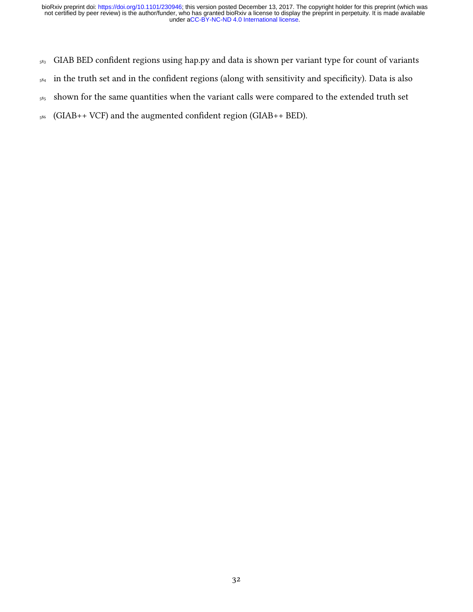- <sub>583</sub> GIAB BED confident regions using hap.py and data is shown per variant type for count of variants
- $584$  in the truth set and in the confident regions (along with sensitivity and specificity). Data is also
- <sub>585</sub> shown for the same quantities when the variant calls were compared to the extended truth set
- $_{586}$  (GIAB++ VCF) and the augmented confident region (GIAB++ BED).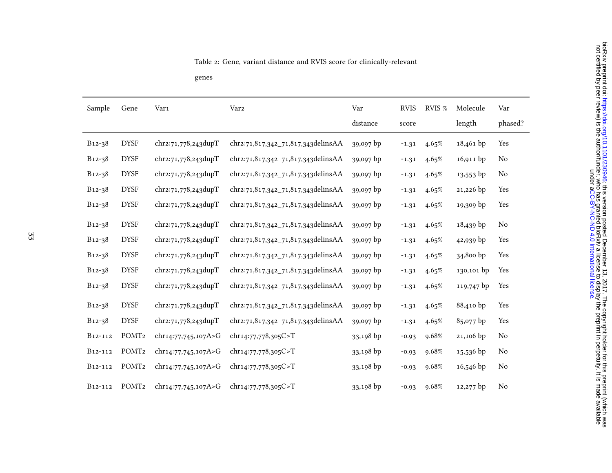genes

| Sample               | Gene              | Var1                | Var <sub>2</sub>                    | Var       | <b>RVIS</b> | RVIS % | Molecule    | Var            |
|----------------------|-------------------|---------------------|-------------------------------------|-----------|-------------|--------|-------------|----------------|
|                      |                   |                     |                                     | distance  | score       |        | length      | phased?        |
| B12-38               | <b>DYSF</b>       | chr2:71,778,243dupT | chr2:71,817,342_71,817,343delinsAA  | 39,097 bp | $-1.31$     | 4.65%  | $18,461$ bp | Yes            |
| B <sub>12-3</sub> 8  | <b>DYSF</b>       | chr2:71,778,243dupT | chr2:71,817,342_71,817,343delinsAA  | 39,097 bp | $-1.31$     | 4.65%  | $16,911$ bp | No             |
| $B_{12-38}$          | <b>DYSF</b>       | chr2:71,778,243dupT | chr2:71,817,342_71,817,343delinsAA  | 39,097 bp | $-1.31$     | 4.65%  | $13,553$ bp | N <sub>0</sub> |
| B12-38               | <b>DYSF</b>       | chr2:71,778,243dupT | chr2:71,817,342_71,817,343delinsAA  | 39,097 bp | $-1.31$     | 4.65%  | 21,226 bp   | Yes            |
| B12-38               | <b>DYSF</b>       | chr2:71,778,243dupT | chr2:71,817,342 71,817,343 delinsAA | 39,097 bp | $-1.31$     | 4.65%  | 19,309 bp   | Yes            |
| $B_{12-38}$          | <b>DYSF</b>       | chr2:71,778,243dupT | chr2:71,817,342_71,817,343delinsAA  | 39,097 bp | $-1.31$     | 4.65%  | $18,439$ bp | N <sub>o</sub> |
| B12-38               | <b>DYSF</b>       | chr2:71,778,243dupT | chr2:71,817,342_71,817,343delinsAA  | 39,097 bp | $-1.31$     | 4.65%  | 42,939 bp   | Yes            |
| $B_{12-38}$          | <b>DYSF</b>       | chr2:71,778,243dupT | chr2:71,817,342_71,817,343delinsAA  | 39,097 bp | $-1.31$     | 4.65%  | 34,800 bp   | Yes            |
| B12-38               | <b>DYSF</b>       | chr2:71,778,243dupT | chr2:71,817,342_71,817,343delinsAA  | 39,097 bp | $-1.31$     | 4.65%  | 130,101 bp  | Yes            |
| B12-38               | <b>DYSF</b>       | chr2:71,778,243dupT | chr2:71,817,342_71,817,343delinsAA  | 39,097 bp | $-1.31$     | 4.65%  | 119,747 bp  | Yes            |
| B12-38               | <b>DYSF</b>       | chr2:71,778,243dupT | chr2:71,817,342_71,817,343delinsAA  | 39,097 bp | $-1.31$     | 4.65%  | 88,410 bp   | Yes            |
| B12-38               | <b>DYSF</b>       | chr2:71,778,243dupT | chr2:71,817,342_71,817,343delinsAA  | 39,097 bp | $-1.31$     | 4.65%  | 85,077 bp   | Yes            |
| B12-112              | POMT <sub>2</sub> | chr14:77,745,107A>G | chr14:77,778,305C>T                 | 33,198 bp | $-0.93$     | 9.68%  | 21,106 bp   | No             |
| B12-112              | POMT <sub>2</sub> | chr14:77,745,107A>G | chr14:77,778,305C>T                 | 33,198 bp | $-0.93$     | 9.68%  | $15,536$ bp | No             |
| B <sub>12</sub> -112 | POMT <sub>2</sub> | chr14:77,745,107A>G | chr14:77,778,305C>T                 | 33,198 bp | $-0.93$     | 9.68%  | 16,546 bp   | N <sub>0</sub> |
| B12-112              | POMT <sub>2</sub> | chr14:77,745,107A>G | chr14:77,778,305C>T                 | 33,198 bp | $-0.93$     | 9.68%  | 12,277 bp   | No             |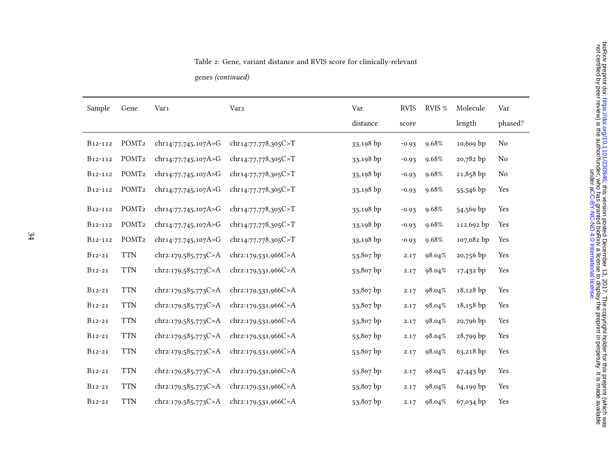#### Table 2: Gene, variant distance and RVIS score for clinically-relevant

genes (continued)

| Sample               | Gene              | Var1                | Var <sub>2</sub>    | Var       | <b>RVIS</b> | RVIS % | Molecule    | Var     |
|----------------------|-------------------|---------------------|---------------------|-----------|-------------|--------|-------------|---------|
|                      |                   |                     |                     | distance  | score       |        | length      | phased? |
| B <sub>12</sub> -112 | POMT <sub>2</sub> | chr14:77,745,107A>G | chr14:77,778,305C>T | 33,198 bp | $-0.93$     | 9.68%  | 10,609 bp   | No      |
| B <sub>12</sub> -112 | POMT <sub>2</sub> | chr14:77,745,107A>G | chr14:77,778,305C>T | 33,198 bp | $-0.93$     | 9.68%  | 20,782 bp   | No      |
| B <sub>12</sub> -112 | POMT <sub>2</sub> | chr14:77,745,107A>G | chr14:77,778,305C>T | 33,198 bp | $-0.93$     | 9.68%  | 21,858 bp   | No      |
| B <sub>12</sub> -112 | POMT <sub>2</sub> | chr14:77,745,107A>G | chr14:77,778,305C>T | 33,198 bp | $-0.93$     | 9.68%  | 55,546 bp   | Yes     |
| B <sub>12</sub> -112 | POMT <sub>2</sub> | chr14:77,745,107A>G | chr14:77,778,305C>T | 33,198 bp | $-0.93$     | 9.68%  | 54,569 bp   | Yes     |
| B <sub>12</sub> -112 | POMT <sub>2</sub> | chr14:77,745,107A>G | chr14:77,778,305C>T | 33,198 bp | $-0.93$     | 9.68%  | 112,692 bp  | Yes     |
| B <sub>12</sub> -112 | POMT <sub>2</sub> | chr14:77,745,107A>G | chr14:77,778,305C>T | 33,198 bp | $-0.93$     | 9.68%  | 107,082 bp  | Yes     |
| B12-21               | <b>TTN</b>        | chr2:179,585,773C>A | chr2:179,531,966C>A | 53,807 bp | 2.17        | 98.04% | 20,756 bp   | Yes     |
| $B12-21$             | <b>TTN</b>        | chr2:179,585,773C>A | chr2:179,531,966C>A | 53,807 bp | 2.17        | 98.04% | 17,432 bp   | Yes     |
| $B_{12-21}$          | <b>TTN</b>        | chr2:179,585,773C>A | chr2:179,531,966C>A | 53,807 bp | 2.17        | 98.04% | 18,128 bp   | Yes     |
| $B_{12-21}$          | <b>TTN</b>        | chr2:179,585,773C>A | chr2:179,531,966C>A | 53,807 bp | 2.17        | 98.04% | $18,158$ bp | Yes     |
| $B_{12-21}$          | <b>TTN</b>        | chr2:179,585,773C>A | chr2:179,531,966C>A | 53,807 bp | 2.17        | 98.04% | 29,796 bp   | Yes     |
| $B_{12-21}$          | <b>TTN</b>        | chr2:179,585,773C>A | chr2:179,531,966C>A | 53,807 bp | 2.17        | 98.04% | $28,799$ bp | Yes     |
| $B_{12-21}$          | <b>TTN</b>        | chr2:179,585,773C>A | chr2:179,531,966C>A | 53,807 bp | 2.17        | 98.04% | 63,218 bp   | Yes     |
| B12-21               | <b>TTN</b>        | chr2:179,585,773C>A | chr2:179,531,966C>A | 53,807 bp | 2.17        | 98.04% | $47,443$ bp | Yes     |
| $B12-21$             | <b>TTN</b>        | chr2:179,585,773C>A | chr2:179,531,966C>A | 53,807 bp | 2.17        | 98.04% | 64,199 bp   | Yes     |
| $B_{12-21}$          | <b>TTN</b>        | chr2:179,585,773C>A | chr2:179,531,966C>A | 53,807 bp | 2.17        | 98.04% | 67,034 bp   | Yes     |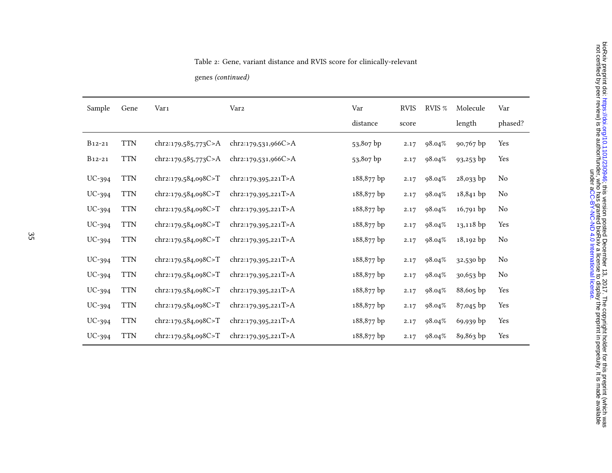genes (continued)

| Sample      | Gene       | Var1                | Var <sub>2</sub>    | Var        | <b>RVIS</b> | RVIS % | Molecule    | Var            |
|-------------|------------|---------------------|---------------------|------------|-------------|--------|-------------|----------------|
|             |            |                     |                     | distance   | score       |        | length      | phased?        |
| $B_{12-21}$ | <b>TTN</b> | chr2:179,585,773C>A | chr2:179,531,966C>A | 53,807 bp  | 2.17        | 98.04% | 90,767 bp   | Yes            |
| B12-21      | <b>TTN</b> | chr2:179,585,773C>A | chr2:179,531,966C>A | 53,807 bp  | 2.17        | 98.04% | 93,253 bp   | Yes            |
| $UC-394$    | <b>TTN</b> | chr2:179,584,098C>T | chr2:179,395,221T>A | 188,877 bp | 2.17        | 98.04% | 28,033 bp   | No             |
| $UC-394$    | <b>TTN</b> | chr2:179,584,098C>T | chr2:179,395,221T>A | 188,877 bp | 2.17        | 98.04% | 18,841 bp   | No             |
| $UC-394$    | <b>TTN</b> | chr2:179,584,098C>T | chr2:179,395,221T>A | 188,877 bp | 2.17        | 98.04% | $16,791$ bp | N <sub>0</sub> |
| $UC-394$    | <b>TTN</b> | chr2:179,584,098C>T | chr2:179,395,221T>A | 188,877 bp | 2.17        | 98.04% | 13,118 bp   | Yes            |
| $UC-394$    | <b>TTN</b> | chr2:179,584,098C>T | chr2:179,395,221T>A | 188,877 bp | 2.17        | 98.04% | 18,192 bp   | No             |
| $UC-394$    | <b>TTN</b> | chr2:179,584,098C>T | chr2:179,395,221T>A | 188,877 bp | 2.17        | 98.04% | 32,530 bp   | No             |
| $UC-394$    | <b>TTN</b> | chr2:179,584,098C>T | chr2:179,395,221T>A | 188,877 bp | 2.17        | 98.04% | 30,653 bp   | N <sub>0</sub> |
| UC-394      | <b>TTN</b> | chr2:179,584,098C>T | chr2:179,395,221T>A | 188,877 bp | 2.17        | 98.04% | $88,605$ bp | Yes            |
| $UC-394$    | <b>TTN</b> | chr2:179,584,098C>T | chr2:179,395,221T>A | 188,877 bp | 2.17        | 98.04% | 87,045 bp   | Yes            |
| $UC-394$    | <b>TTN</b> | chr2:179,584,098C>T | chr2:179,395,221T>A | 188,877 bp | 2.17        | 98.04% | 69,939 bp   | Yes            |
| $UC-394$    | <b>TTN</b> | chr2:179,584,098C>T | chr2:179,395,221T>A | 188,877 bp | 2.17        | 98.04% | 89,863 bp   | Yes            |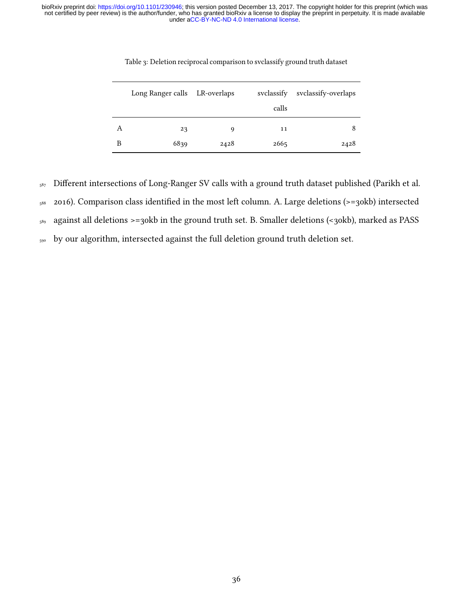|   | Long Ranger calls LR-overlaps |      | svclassify | svclassify-overlaps |
|---|-------------------------------|------|------------|---------------------|
|   |                               |      | calls      |                     |
| А | 23                            | 9    | 11         | 8                   |
| В | 6839                          | 2428 | 2665       | 2428                |

Table 3: Deletion reciprocal comparison to svclassify ground truth dataset

587 Different intersections of Long-Ranger SV calls with a ground truth dataset published (Parikh et al.

588 2016). Comparison class identified in the most left column. A. Large deletions (>=30kb) intersected

<sup>589</sup> against all deletions >=30kb in the ground truth set. B. Smaller deletions (<30kb), marked as PASS

<sub>590</sub> by our algorithm, intersected against the full deletion ground truth deletion set.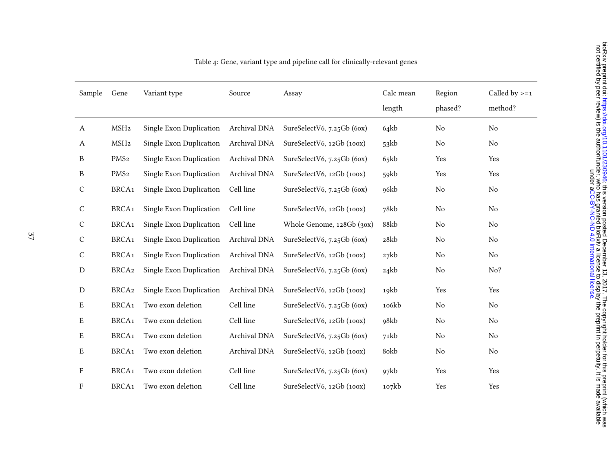| Sample           | Gene              | Variant type            | Source       | Assay                         | Calc mean | Region   | Called by $>=1$ |
|------------------|-------------------|-------------------------|--------------|-------------------------------|-----------|----------|-----------------|
|                  |                   |                         |              |                               | length    | phased?  | method?         |
| $\boldsymbol{A}$ | MSH <sub>2</sub>  | Single Exon Duplication | Archival DNA | SureSelectV6, 7.25Gb (6ox)    | 64kb      | No       | No              |
| A                | MSH <sub>2</sub>  | Single Exon Duplication | Archival DNA | SureSelectV6, 12Gb (100x)     | 53kb      | No       | No              |
| B                | PMS <sub>2</sub>  | Single Exon Duplication | Archival DNA | SureSelectV6, $7.25$ Gb (60x) | 65kb      | Yes      | Yes             |
| $\, {\bf B}$     | PMS <sub>2</sub>  | Single Exon Duplication | Archival DNA | SureSelectV6, 12Gb (100x)     | 59kb      | Yes      | Yes             |
| $\mathbf C$      | BRCA <sub>1</sub> | Single Exon Duplication | Cell line    | SureSelectV6, $7.25$ Gb (60x) | 96kb      | No       | No              |
| $\mathbf C$      | BRCA <sub>1</sub> | Single Exon Duplication | Cell line    | SureSelectV6, 12Gb (100x)     | 78kb      | No       | No              |
| $\mathbf C$      | BRCA <sub>1</sub> | Single Exon Duplication | Cell line    | Whole Genome, 128Gb (30x)     | 88kb      | $\rm No$ | No              |
| $\mathbf C$      | BRCA <sub>1</sub> | Single Exon Duplication | Archival DNA | SureSelectV6, $7.25$ Gb (60x) | 28kb      | $\rm No$ | No              |
| $\mathsf{C}$     | BRCA <sub>1</sub> | Single Exon Duplication | Archival DNA | SureSelectV6, 12Gb (100x)     | 27kb      | No       | No              |
| ${\rm D}$        | BRCA2             | Single Exon Duplication | Archival DNA | SureSelectV6, 7.25Gb (6ox)    | 24kb      | No       | No?             |
| $\mathbf D$      | BRCA <sub>2</sub> | Single Exon Duplication | Archival DNA | SureSelectV6, 12Gb (100x)     | 19kb      | Yes      | Yes             |
| ${\bf E}$        | BRCA <sub>1</sub> | Two exon deletion       | Cell line    | SureSelectV6, 7.25Gb (6ox)    | 106kb     | $\rm No$ | No              |
| E                | BRCA <sub>1</sub> | Two exon deletion       | Cell line    | SureSelectV6, 12Gb (100x)     | 98kb      | No       | No              |
| E                | BRCA <sub>1</sub> | Two exon deletion       | Archival DNA | SureSelectV6, $7.25$ Gb (60x) | 71kb      | No       | No              |
| E                | BRCA <sub>1</sub> | Two exon deletion       | Archival DNA | SureSelectV6, 12Gb (100x)     | 80kb      | $\rm No$ | No              |
| F                | BRCA <sub>1</sub> | Two exon deletion       | Cell line    | SureSelectV6, 7.25Gb (6ox)    | 97kb      | Yes      | Yes             |
| F                | BRCA <sub>1</sub> | Two exon deletion       | Cell line    | SureSelectV6, 12Gb (100x)     | 107kb     | Yes      | Yes             |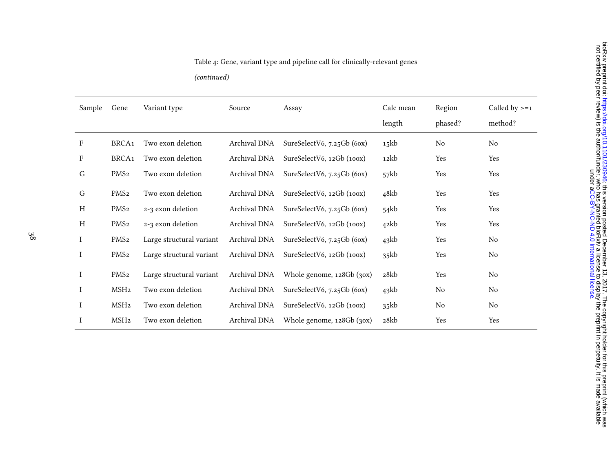# Table 4: Gene, variant type and pipeline call for clinically-relevant genes

(continued)

| Sample                    | Gene              | Variant type             | Source       | Assay                           | Calc mean | Region  | Called by $>=1$ |
|---------------------------|-------------------|--------------------------|--------------|---------------------------------|-----------|---------|-----------------|
|                           |                   |                          |              |                                 | length    | phased? | method?         |
| $\mathbf F$               | BRCA <sub>1</sub> | Two exon deletion        | Archival DNA | SureSelectV6, $7.25$ Gb (60x)   | 15kb      | No      | No              |
| $\boldsymbol{\mathrm{F}}$ | BRCA <sub>1</sub> | Two exon deletion        | Archival DNA | SureSelectV6, 12Gb (100x)       | 12kb      | Yes     | Yes             |
| G                         | PMS <sub>2</sub>  | Two exon deletion        | Archival DNA | SureSelectV6, $7.25$ Gb (60x)   | 57kb      | Yes     | Yes             |
| ${\bf G}$                 | PMS <sub>2</sub>  | Two exon deletion        | Archival DNA | SureSelectV6, 12Gb (100x)       | 48kb      | Yes     | Yes             |
| $\boldsymbol{\mathrm{H}}$ | PMS <sub>2</sub>  | 2-3 exon deletion        | Archival DNA | SureSelectV6, 7.25Gb (6ox)      | 54kb      | Yes     | Yes             |
| $\boldsymbol{\mathrm{H}}$ | PMS <sub>2</sub>  | 2-3 exon deletion        | Archival DNA | SureSelectV6, 12Gb (100x)       | 42kb      | Yes     | Yes             |
| I                         | PMS <sub>2</sub>  | Large structural variant | Archival DNA | SureSelectV6, 7.25Gb (6ox)      | 43kb      | Yes     | No              |
| I                         | PMS <sub>2</sub>  | Large structural variant | Archival DNA | SureSelectV6, 12Gb (100x)       | 35kb      | Yes     | No              |
| I                         | PMS <sub>2</sub>  | Large structural variant | Archival DNA | Whole genome, 128Gb (30x)       | 28kb      | Yes     | No              |
| I                         | MSH <sub>2</sub>  | Two exon deletion        | Archival DNA | SureSelectV6, 7.25Gb (6ox)      | 43kb      | No      | No              |
| I                         | MSH <sub>2</sub>  | Two exon deletion        | Archival DNA | SureSelectV6, 12Gb (100x)       | 35kb      | No      | No              |
| I                         | MSH <sub>2</sub>  | Two exon deletion        | Archival DNA | Whole genome, $128Gb$ ( $30x$ ) | 28kb      | Yes     | Yes             |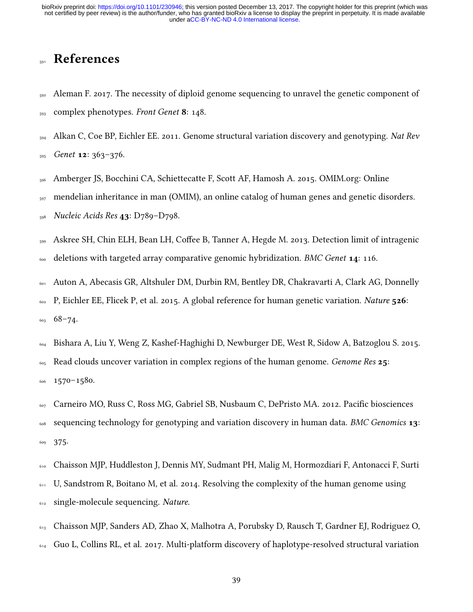# **References**

- <span id="page-38-8"></span><sub>592</sub> Aleman F. 2017. The necessity of diploid genome sequencing to unravel the genetic component of  $_{593}$  complex phenotypes. Front Genet 8: 148.
- <span id="page-38-7"></span> $_{594}$  Alkan C, Coe BP, Eichler EE. 2011. Genome structural variation discovery and genotyping. Nat Rev

<span id="page-38-2"></span><sup>595</sup> Genet 12: 363–376.

- <sup>596</sup> Amberger JS, Bocchini CA, Schiettecatte F, Scott AF, Hamosh A. 2015. OMIM.org: Online
- $_{597}$  mendelian inheritance in man (OMIM), an online catalog of human genes and genetic disorders.

<span id="page-38-4"></span><sup>598</sup> Nucleic Acids Res 43: D789–D798.

- 599 Askree SH, Chin ELH, Bean LH, Coffee B, Tanner A, Hegde M. 2013. Detection limit of intragenic
- <span id="page-38-0"></span>600 deletions with targeted array comparative genomic hybridization. BMC Genet 14: 116.
- <sup>601</sup> Auton A, Abecasis GR, Altshuler DM, Durbin RM, Bentley DR, Chakravarti A, Clark AG, Donnelly
- $\frac{602}{2}$  P, Eichler EE, Flicek P, et al. 2015. A global reference for human genetic variation. Nature 526: <sup>603</sup> 68–74.
- <span id="page-38-6"></span><sup>604</sup> Bishara A, Liu Y, Weng Z, Kashef-Haghighi D, Newburger DE, West R, Sidow A, Batzoglou S. 2015.
- $\epsilon_{05}$  Read clouds uncover variation in complex regions of the human genome. Genome Res 25: <sup>606</sup> 1570–1580.
- <span id="page-38-5"></span>607 Carneiro MO, Russ C, Ross MG, Gabriel SB, Nusbaum C, DePristo MA. 2012. Pacific biosciences  $\frac{608}{100}$  sequencing technology for genotyping and variation discovery in human data. BMC Genomics 13: <sup>609</sup> 375.
- <span id="page-38-1"></span><sup>610</sup> Chaisson MJP, Huddleston J, Dennis MY, Sudmant PH, Malig M, Hormozdiari F, Antonacci F, Surti  $611$  U, Sandstrom R, Boitano M, et al. 2014. Resolving the complexity of the human genome using 612 single-molecule sequencing. Nature.
- <span id="page-38-3"></span><sup>613</sup> Chaisson MJP, Sanders AD, Zhao X, Malhotra A, Porubsky D, Rausch T, Gardner EJ, Rodriguez O,  $614$  Guo L, Collins RL, et al. 2017. Multi-platform discovery of haplotype-resolved structural variation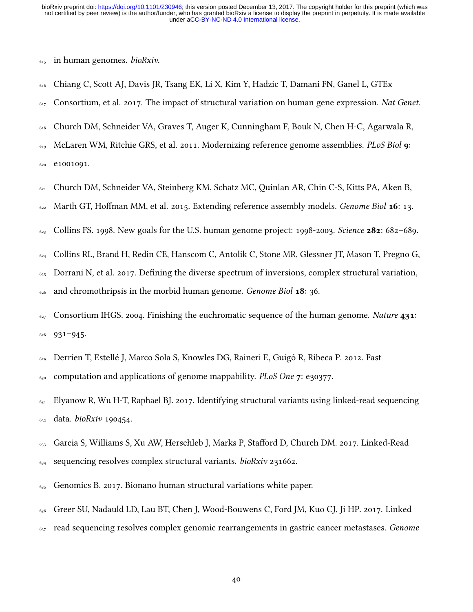<span id="page-39-5"></span> $615$  in human genomes. *bioRxiv*.

- <sup>616</sup> Chiang C, Scott AJ, Davis JR, Tsang EK, Li X, Kim Y, Hadzic T, Damani FN, Ganel L, GTEx
- <span id="page-39-0"></span>617 Consortium, et al. 2017. The impact of structural variation on human gene expression. Nat Genet.
- <sup>618</sup> Church DM, Schneider VA, Graves T, Auger K, Cunningham F, Bouk N, Chen H-C, Agarwala R,
- $619$  McLaren WM, Ritchie GRS, et al. 2011. Modernizing reference genome assemblies. PLoS Biol  $\boldsymbol{q}$ : <sup>620</sup> e1001091.
- <span id="page-39-4"></span><sup>621</sup> Church DM, Schneider VA, Steinberg KM, Schatz MC, Quinlan AR, Chin C-S, Kitts PA, Aken B,
- <span id="page-39-1"></span>622 Marth GT, Hoffman MM, et al. 2015. Extending reference assembly models. Genome Biol 16: 13.
- <span id="page-39-3"></span> $\frac{623}{623}$  Collins FS. 1998. New goals for the U.S. human genome project: 1998-2003. Science **282**: 682–689.
- <sup>624</sup> Collins RL, Brand H, Redin CE, Hanscom C, Antolik C, Stone MR, Glessner JT, Mason T, Pregno G,
- $\frac{625}{625}$  Dorrani N, et al. 2017. Defining the diverse spectrum of inversions, complex structural variation,
- <span id="page-39-2"></span> $626$  and chromothripsis in the morbid human genome. Genome Biol 18: 36.
- $627$  Consortium IHGS. 2004. Finishing the euchromatic sequence of the human genome. Nature 431: <sup>628</sup> 931–945.
- <span id="page-39-10"></span><sup>629</sup> Derrien T, Estellé J, Marco Sola S, Knowles DG, Raineri E, Guigó R, Ribeca P. 2012. Fast
- <span id="page-39-7"></span> $\epsilon_{30}$  computation and applications of genome mappability. PLoS One 7: e30377.
- <sup>631</sup> Elyanow R, Wu H-T, Raphael BJ. 2017. Identifying structural variants using linked-read sequencing  $_{632}$  data. *bioRxiv* 190454.
- <span id="page-39-8"></span>633 Garcia S, Williams S, Xu AW, Herschleb J, Marks P, Stafford D, Church DM. 2017. Linked-Read  $_{634}$  sequencing resolves complex structural variants. *bioRxiv* 231662.
- <span id="page-39-9"></span><span id="page-39-6"></span> $\epsilon_{35}$  Genomics B. 2017. Bionano human structural variations white paper.
- <sup>636</sup> Greer SU, Nadauld LD, Lau BT, Chen J, Wood-Bouwens C, Ford JM, Kuo CJ, Ji HP. 2017. Linked
- $637$  read sequencing resolves complex genomic rearrangements in gastric cancer metastases. Genome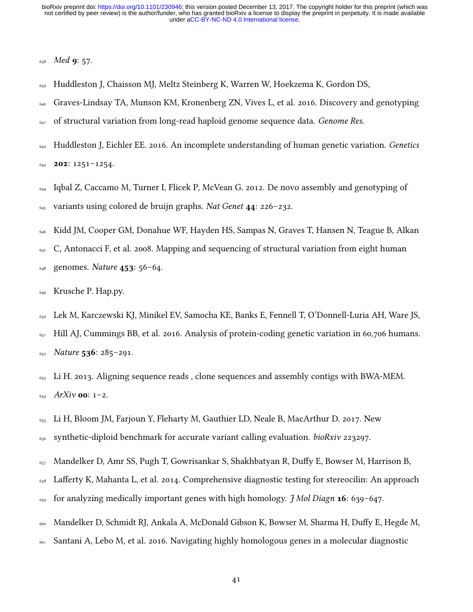<span id="page-40-7"></span>638 Med **9:** 57.

- <sup>639</sup> Huddleston J, Chaisson MJ, Meltz Steinberg K, Warren W, Hoekzema K, Gordon DS,
- <sup>640</sup> Graves-Lindsay TA, Munson KM, Kronenberg ZN, Vives L, et al. 2016. Discovery and genotyping
- <span id="page-40-1"></span> $641$  of structural variation from long-read haploid genome sequence data. *Genome Res.*
- $642$  Huddleston J, Eichler EE. 2016. An incomplete understanding of human genetic variation. Genetics

<span id="page-40-2"></span> $643$  **202:** 1251-1254.

- $_{644}$  Igbal Z, Caccamo M, Turner I, Flicek P, McVean G. 2012. De novo assembly and genotyping of  $645$  variants using colored de bruijn graphs. Nat Genet  $44: 226-232$ .
- <span id="page-40-8"></span><sup>646</sup> Kidd JM, Cooper GM, Donahue WF, Hayden HS, Sampas N, Graves T, Hansen N, Teague B, Alkan

 $\epsilon_{47}$  C, Antonacci F, et al. 2008. Mapping and sequencing of structural variation from eight human

- <sup>648</sup> genomes. Nature 453: 56–64.
- <span id="page-40-0"></span><sup>649</sup> Krusche P. Hap.py.

<sup>650</sup> Lek M, Karczewski KJ, Minikel EV, Samocha KE, Banks E, Fennell T, O'Donnell-Luria AH, Ware JS,

 $_{651}$  Hill AJ, Cummings BB, et al. 2016. Analysis of protein-coding genetic variation in 60,706 humans.  $_{652}$  Nature 536: 285-291.

- <span id="page-40-5"></span> $653$  Li H. 2013. Aligning sequence reads, clone sequences and assembly contigs with BWA-MEM.  $654$  ArXiv **00**: 1-2.
- <span id="page-40-6"></span><sup>655</sup> Li H, Bloom JM, Farjoun Y, Fleharty M, Gauthier LD, Neale B, MacArthur D. 2017. New
- <span id="page-40-4"></span>656 synthetic-diploid benchmark for accurate variant calling evaluation.  $bioRxiv$  223297.
- <sup>657</sup> Mandelker D, Amr SS, Pugh T, Gowrisankar S, Shakhbatyan R, Duffy E, Bowser M, Harrison B,
- <sup>658</sup> Lafferty K, Mahanta L, et al. 2014. Comprehensive diagnostic testing for stereocilin: An approach
- <span id="page-40-3"></span> $\epsilon_{59}$  for analyzing medically important genes with high homology. *J Mol Diagn* 16: 639–647.
- 660 Mandelker D, Schmidt RJ, Ankala A, McDonald Gibson K, Bowser M, Sharma H, Duffy E, Hegde M,
- <sup>661</sup> Santani A, Lebo M, et al. 2016. Navigating highly homologous genes in a molecular diagnostic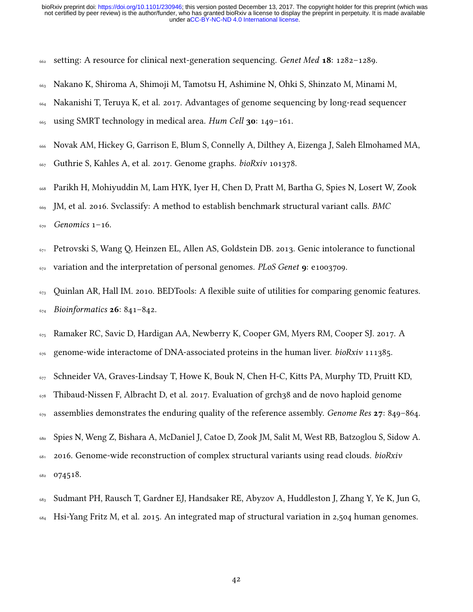- <span id="page-41-4"></span><sup>662</sup> setting: A resource for clinical next-generation sequencing. *Genet Med* 18: 1282-1289.
- Nakano K, Shiroma A, Shimoji M, Tamotsu H, Ashimine N, Ohki S, Shinzato M, Minami M,
- Nakanishi T, Teruya K, et al. 2017. Advantages of genome sequencing by long-read sequencer
- <span id="page-41-2"></span>using SMRT technology in medical area. Hum Cell 30: 149–161.
- Novak AM, Hickey G, Garrison E, Blum S, Connelly A, Dilthey A, Eizenga J, Saleh Elmohamed MA,
- <span id="page-41-6"></span>Guthrie S, Kahles A, et al. 2017. Genome graphs. *bioRxiv* 101378.
- Parikh H, Mohiyuddin M, Lam HYK, Iyer H, Chen D, Pratt M, Bartha G, Spies N, Losert W, Zook
- 669 JM, et al. 2016. Svclassify: A method to establish benchmark structural variant calls. BMC
- <span id="page-41-5"></span>Genomics 1–16.
- $_{671}$  Petrovski S, Wang O, Heinzen EL, Allen AS, Goldstein DB. 2013. Genic intolerance to functional 672 variation and the interpretation of personal genomes. PLoS Genet 9: e1003709.
- <span id="page-41-8"></span> Quinlan AR, Hall IM. 2010. BEDTools: A flexible suite of utilities for comparing genomic features.  $_{674}$  Bioinformatics **26**: 841-842.
- <span id="page-41-3"></span>Ramaker RC, Savic D, Hardigan AA, Newberry K, Cooper GM, Myers RM, Cooper SJ. 2017. A
- <span id="page-41-1"></span>676 genome-wide interactome of DNA-associated proteins in the human liver. *bioRxiv* 111385.
- Schneider VA, Graves-Lindsay T, Howe K, Bouk N, Chen H-C, Kitts PA, Murphy TD, Pruitt KD,
- Thibaud-Nissen F, Albracht D, et al. 2017. Evaluation of grch38 and de novo haploid genome
- <span id="page-41-7"></span>assemblies demonstrates the enduring quality of the reference assembly. Genome Res  $27: 849-864$ .
- Spies N, Weng Z, Bishara A, McDaniel J, Catoe D, Zook JM, Salit M, West RB, Batzoglou S, Sidow A.
- 681 2016. Genome-wide reconstruction of complex structural variants using read clouds. bioRxiv
- <span id="page-41-0"></span>074518.
- Sudmant PH, Rausch T, Gardner EJ, Handsaker RE, Abyzov A, Huddleston J, Zhang Y, Ye K, Jun G,
- Hsi-Yang Fritz M, et al. 2015. An integrated map of structural variation in 2,504 human genomes.